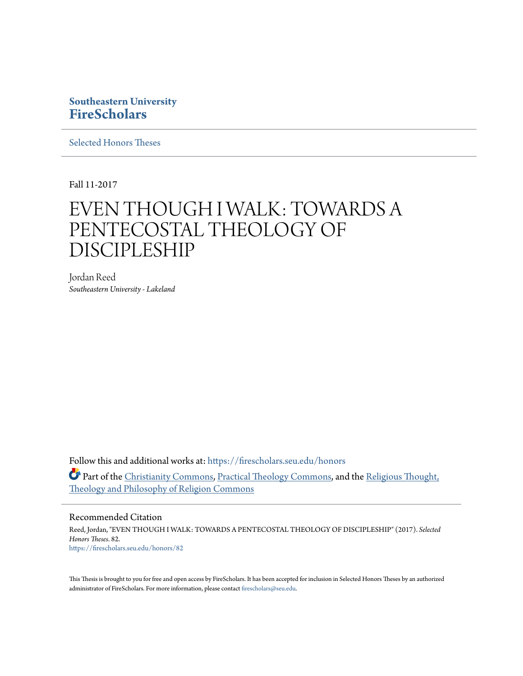# **Southeastern University [FireScholars](https://firescholars.seu.edu?utm_source=firescholars.seu.edu%2Fhonors%2F82&utm_medium=PDF&utm_campaign=PDFCoverPages)**

[Selected Honors Theses](https://firescholars.seu.edu/honors?utm_source=firescholars.seu.edu%2Fhonors%2F82&utm_medium=PDF&utm_campaign=PDFCoverPages)

Fall 11-2017

# EVEN THOUGH I WALK: TOWARDS A PENTECOSTAL THEOLOGY OF DISCIPLESHIP

Jordan Reed *Southeastern University - Lakeland*

Follow this and additional works at: [https://firescholars.seu.edu/honors](https://firescholars.seu.edu/honors?utm_source=firescholars.seu.edu%2Fhonors%2F82&utm_medium=PDF&utm_campaign=PDFCoverPages) Part of the [Christianity Commons,](http://network.bepress.com/hgg/discipline/1181?utm_source=firescholars.seu.edu%2Fhonors%2F82&utm_medium=PDF&utm_campaign=PDFCoverPages) [Practical Theology Commons](http://network.bepress.com/hgg/discipline/1186?utm_source=firescholars.seu.edu%2Fhonors%2F82&utm_medium=PDF&utm_campaign=PDFCoverPages), and the [Religious Thought,](http://network.bepress.com/hgg/discipline/544?utm_source=firescholars.seu.edu%2Fhonors%2F82&utm_medium=PDF&utm_campaign=PDFCoverPages) [Theology and Philosophy of Religion Commons](http://network.bepress.com/hgg/discipline/544?utm_source=firescholars.seu.edu%2Fhonors%2F82&utm_medium=PDF&utm_campaign=PDFCoverPages)

#### Recommended Citation

Reed, Jordan, "EVEN THOUGH I WALK: TOWARDS A PENTECOSTAL THEOLOGY OF DISCIPLESHIP" (2017). *Selected Honors Theses*. 82. [https://firescholars.seu.edu/honors/82](https://firescholars.seu.edu/honors/82?utm_source=firescholars.seu.edu%2Fhonors%2F82&utm_medium=PDF&utm_campaign=PDFCoverPages)

This Thesis is brought to you for free and open access by FireScholars. It has been accepted for inclusion in Selected Honors Theses by an authorized administrator of FireScholars. For more information, please contact [firescholars@seu.edu](mailto:firescholars@seu.edu).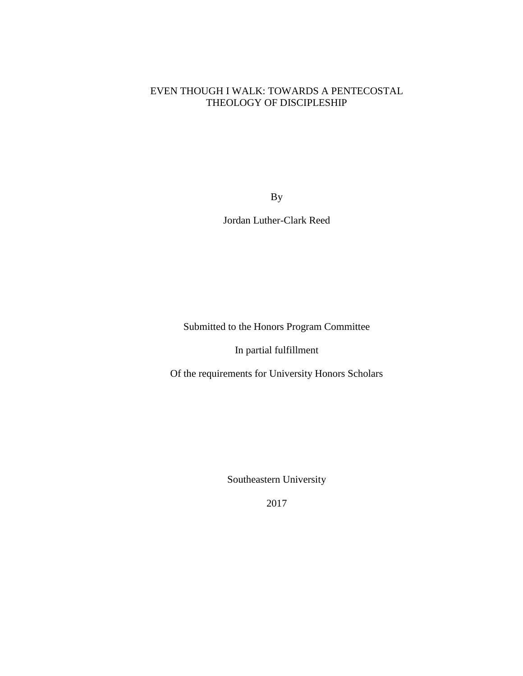# EVEN THOUGH I WALK: TOWARDS A PENTECOSTAL THEOLOGY OF DISCIPLESHIP

By

Jordan Luther-Clark Reed

Submitted to the Honors Program Committee

In partial fulfillment

Of the requirements for University Honors Scholars

Southeastern University

2017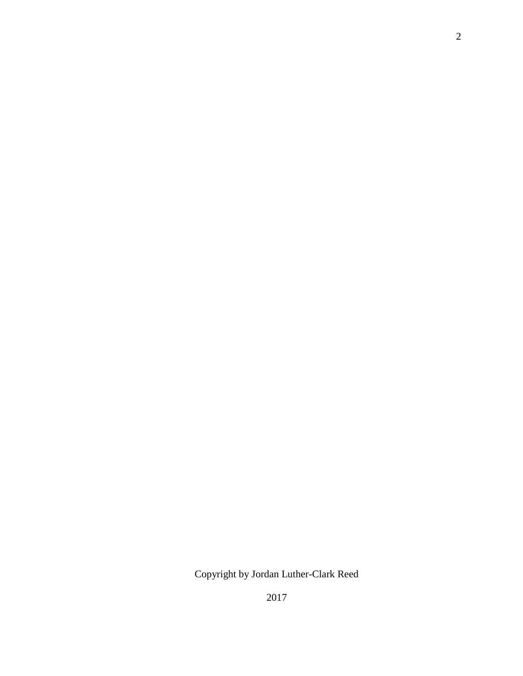Copyright by Jordan Luther-Clark Reed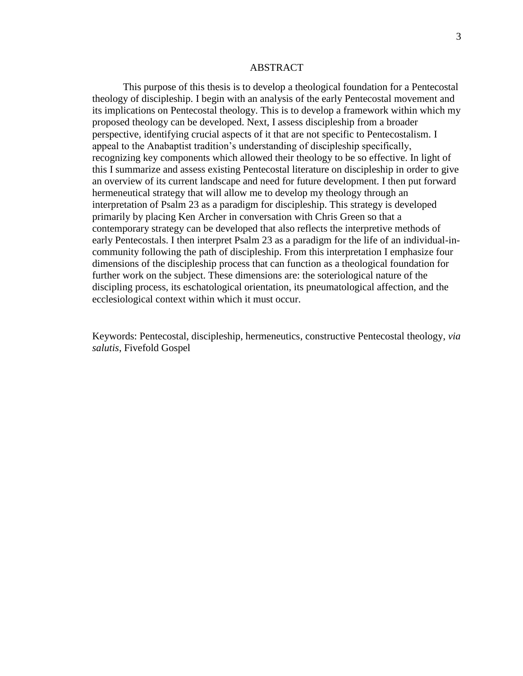#### ABSTRACT

This purpose of this thesis is to develop a theological foundation for a Pentecostal theology of discipleship. I begin with an analysis of the early Pentecostal movement and its implications on Pentecostal theology. This is to develop a framework within which my proposed theology can be developed. Next, I assess discipleship from a broader perspective, identifying crucial aspects of it that are not specific to Pentecostalism. I appeal to the Anabaptist tradition's understanding of discipleship specifically, recognizing key components which allowed their theology to be so effective. In light of this I summarize and assess existing Pentecostal literature on discipleship in order to give an overview of its current landscape and need for future development. I then put forward hermeneutical strategy that will allow me to develop my theology through an interpretation of Psalm 23 as a paradigm for discipleship. This strategy is developed primarily by placing Ken Archer in conversation with Chris Green so that a contemporary strategy can be developed that also reflects the interpretive methods of early Pentecostals. I then interpret Psalm 23 as a paradigm for the life of an individual-incommunity following the path of discipleship. From this interpretation I emphasize four dimensions of the discipleship process that can function as a theological foundation for further work on the subject. These dimensions are: the soteriological nature of the discipling process, its eschatological orientation, its pneumatological affection, and the ecclesiological context within which it must occur.

Keywords: Pentecostal, discipleship, hermeneutics, constructive Pentecostal theology, *via salutis*, Fivefold Gospel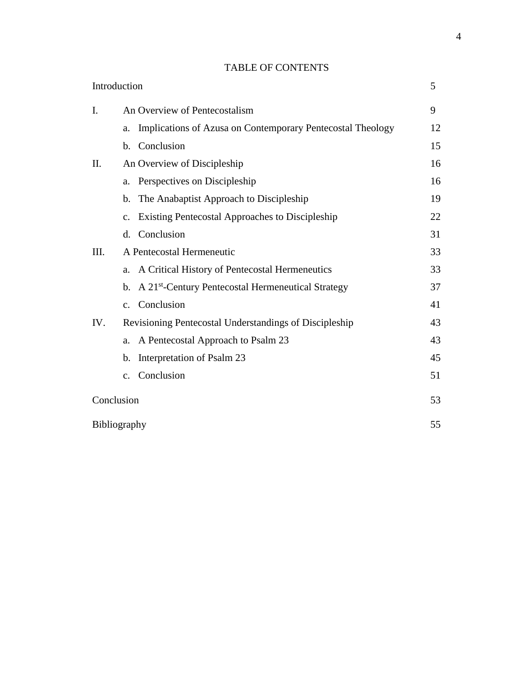# TABLE OF CONTENTS

| Introduction |                                                        |                                                                | 5  |
|--------------|--------------------------------------------------------|----------------------------------------------------------------|----|
| I.           | An Overview of Pentecostalism                          |                                                                | 9  |
|              | a.                                                     | Implications of Azusa on Contemporary Pentecostal Theology     | 12 |
|              | b.                                                     | Conclusion                                                     | 15 |
| II.          |                                                        | An Overview of Discipleship                                    | 16 |
|              | a.                                                     | Perspectives on Discipleship                                   | 16 |
|              | $\mathbf{b}$ .                                         | The Anabaptist Approach to Discipleship                        | 19 |
|              | $\mathbf{c}$ .                                         | Existing Pentecostal Approaches to Discipleship                | 22 |
|              | d.                                                     | Conclusion                                                     | 31 |
| III.         | A Pentecostal Hermeneutic                              |                                                                | 33 |
|              | a.                                                     | A Critical History of Pentecostal Hermeneutics                 | 33 |
|              | b.                                                     | A 21 <sup>st</sup> -Century Pentecostal Hermeneutical Strategy | 37 |
|              |                                                        | c. Conclusion                                                  | 41 |
| IV.          | Revisioning Pentecostal Understandings of Discipleship |                                                                | 43 |
|              | a.                                                     | A Pentecostal Approach to Psalm 23                             | 43 |
|              | b.                                                     | Interpretation of Psalm 23                                     | 45 |
|              | C <sub>1</sub>                                         | Conclusion                                                     | 51 |
| Conclusion   |                                                        |                                                                | 53 |
| Bibliography |                                                        |                                                                | 55 |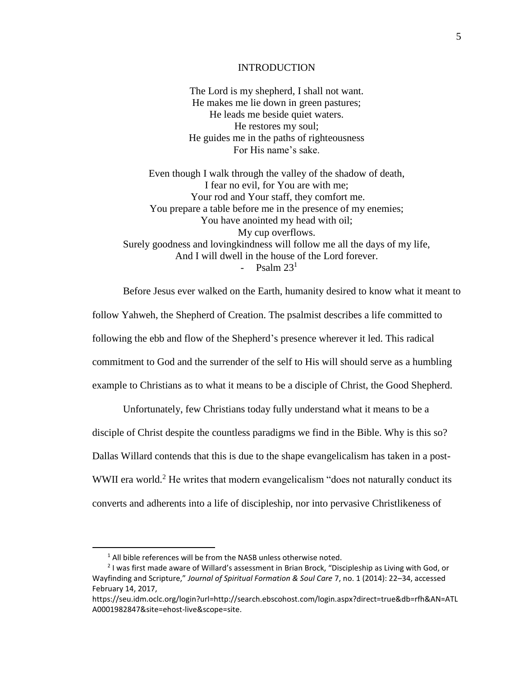#### INTRODUCTION

The Lord is my shepherd, I shall not want. He makes me lie down in green pastures; He leads me beside quiet waters. He restores my soul; He guides me in the paths of righteousness For His name's sake.

Even though I walk through the valley of the shadow of death, I fear no evil, for You are with me; Your rod and Your staff, they comfort me. You prepare a table before me in the presence of my enemies; You have anointed my head with oil; My cup overflows. Surely goodness and lovingkindness will follow me all the days of my life, And I will dwell in the house of the Lord forever. - Psalm  $23<sup>1</sup>$ 

Before Jesus ever walked on the Earth, humanity desired to know what it meant to

follow Yahweh, the Shepherd of Creation. The psalmist describes a life committed to

following the ebb and flow of the Shepherd's presence wherever it led. This radical

commitment to God and the surrender of the self to His will should serve as a humbling

example to Christians as to what it means to be a disciple of Christ, the Good Shepherd.

Unfortunately, few Christians today fully understand what it means to be a

disciple of Christ despite the countless paradigms we find in the Bible. Why is this so?

Dallas Willard contends that this is due to the shape evangelicalism has taken in a post-

WWII era world.<sup>2</sup> He writes that modern evangelicalism "does not naturally conduct its

converts and adherents into a life of discipleship, nor into pervasive Christlikeness of

l

 $1$  All bible references will be from the NASB unless otherwise noted.

<sup>&</sup>lt;sup>2</sup> I was first made aware of Willard's assessment in Brian Brock, "Discipleship as Living with God, or Wayfinding and Scripture," *Journal of Spiritual Formation & Soul Care* 7, no. 1 (2014): 22–34, accessed February 14, 2017,

https://seu.idm.oclc.org/login?url=http://search.ebscohost.com/login.aspx?direct=true&db=rfh&AN=ATL A0001982847&site=ehost-live&scope=site.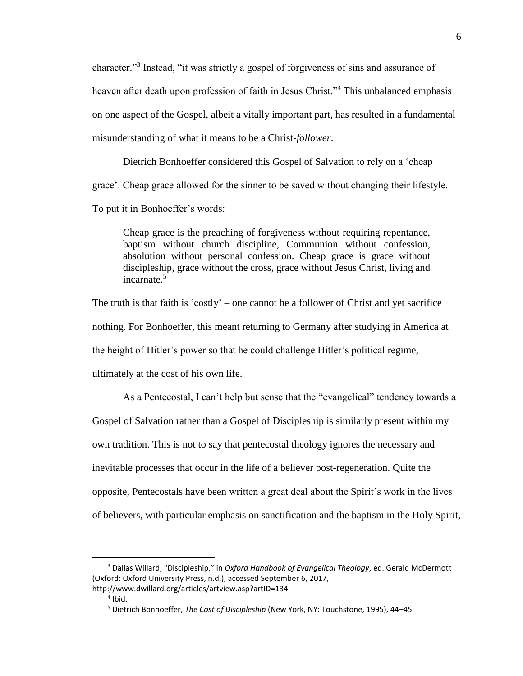character."<sup>3</sup> Instead, "it was strictly a gospel of forgiveness of sins and assurance of heaven after death upon profession of faith in Jesus Christ."<sup>4</sup> This unbalanced emphasis on one aspect of the Gospel, albeit a vitally important part, has resulted in a fundamental misunderstanding of what it means to be a Christ-*follower*.

Dietrich Bonhoeffer considered this Gospel of Salvation to rely on a 'cheap grace'. Cheap grace allowed for the sinner to be saved without changing their lifestyle. To put it in Bonhoeffer's words:

Cheap grace is the preaching of forgiveness without requiring repentance, baptism without church discipline, Communion without confession, absolution without personal confession. Cheap grace is grace without discipleship, grace without the cross, grace without Jesus Christ, living and incarnate.<sup>5</sup>

The truth is that faith is 'costly' – one cannot be a follower of Christ and yet sacrifice nothing. For Bonhoeffer, this meant returning to Germany after studying in America at the height of Hitler's power so that he could challenge Hitler's political regime, ultimately at the cost of his own life.

As a Pentecostal, I can't help but sense that the "evangelical" tendency towards a

Gospel of Salvation rather than a Gospel of Discipleship is similarly present within my own tradition. This is not to say that pentecostal theology ignores the necessary and inevitable processes that occur in the life of a believer post-regeneration. Quite the opposite, Pentecostals have been written a great deal about the Spirit's work in the lives of believers, with particular emphasis on sanctification and the baptism in the Holy Spirit,

<sup>3</sup> Dallas Willard, "Discipleship," in *Oxford Handbook of Evangelical Theology*, ed. Gerald McDermott (Oxford: Oxford University Press, n.d.), accessed September 6, 2017, http://www.dwillard.org/articles/artview.asp?artID=134.

<sup>4</sup> Ibid.

<sup>5</sup> Dietrich Bonhoeffer, *The Cost of Discipleship* (New York, NY: Touchstone, 1995), 44–45.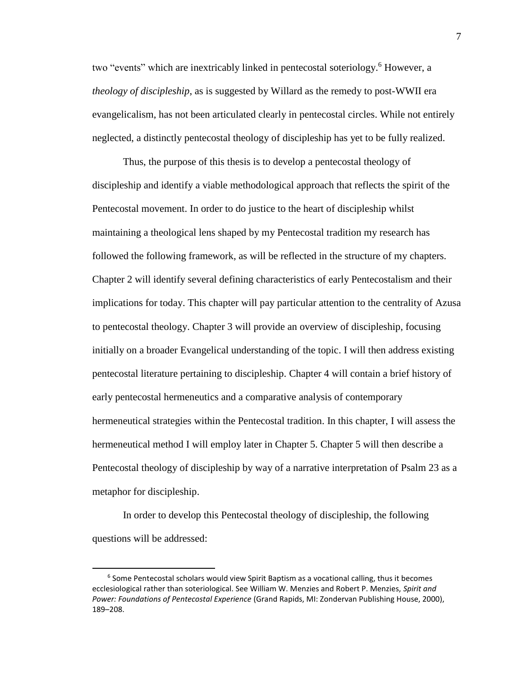two "events" which are inextricably linked in pentecostal soteriology.<sup>6</sup> However, a *theology of discipleship*, as is suggested by Willard as the remedy to post-WWII era evangelicalism, has not been articulated clearly in pentecostal circles. While not entirely neglected, a distinctly pentecostal theology of discipleship has yet to be fully realized.

Thus, the purpose of this thesis is to develop a pentecostal theology of discipleship and identify a viable methodological approach that reflects the spirit of the Pentecostal movement. In order to do justice to the heart of discipleship whilst maintaining a theological lens shaped by my Pentecostal tradition my research has followed the following framework, as will be reflected in the structure of my chapters. Chapter 2 will identify several defining characteristics of early Pentecostalism and their implications for today. This chapter will pay particular attention to the centrality of Azusa to pentecostal theology. Chapter 3 will provide an overview of discipleship, focusing initially on a broader Evangelical understanding of the topic. I will then address existing pentecostal literature pertaining to discipleship. Chapter 4 will contain a brief history of early pentecostal hermeneutics and a comparative analysis of contemporary hermeneutical strategies within the Pentecostal tradition. In this chapter, I will assess the hermeneutical method I will employ later in Chapter 5. Chapter 5 will then describe a Pentecostal theology of discipleship by way of a narrative interpretation of Psalm 23 as a metaphor for discipleship.

In order to develop this Pentecostal theology of discipleship, the following questions will be addressed:

l

<sup>&</sup>lt;sup>6</sup> Some Pentecostal scholars would view Spirit Baptism as a vocational calling, thus it becomes ecclesiological rather than soteriological. See William W. Menzies and Robert P. Menzies, *Spirit and Power: Foundations of Pentecostal Experience* (Grand Rapids, MI: Zondervan Publishing House, 2000), 189–208.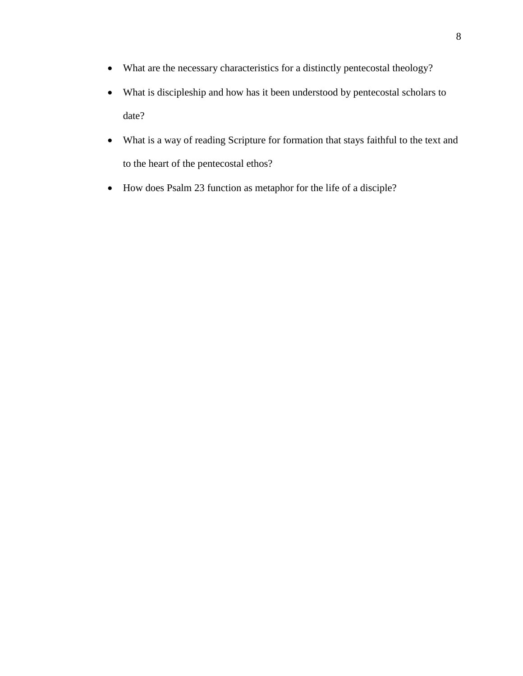- What are the necessary characteristics for a distinctly pentecostal theology?
- What is discipleship and how has it been understood by pentecostal scholars to date?
- What is a way of reading Scripture for formation that stays faithful to the text and to the heart of the pentecostal ethos?
- How does Psalm 23 function as metaphor for the life of a disciple?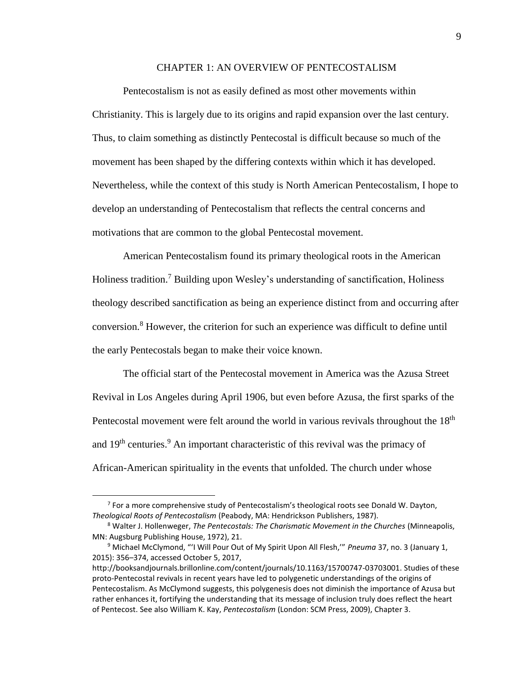## CHAPTER 1: AN OVERVIEW OF PENTECOSTALISM

Pentecostalism is not as easily defined as most other movements within Christianity. This is largely due to its origins and rapid expansion over the last century. Thus, to claim something as distinctly Pentecostal is difficult because so much of the movement has been shaped by the differing contexts within which it has developed. Nevertheless, while the context of this study is North American Pentecostalism, I hope to develop an understanding of Pentecostalism that reflects the central concerns and motivations that are common to the global Pentecostal movement.

American Pentecostalism found its primary theological roots in the American Holiness tradition.<sup>7</sup> Building upon Wesley's understanding of sanctification, Holiness theology described sanctification as being an experience distinct from and occurring after conversion.<sup>8</sup> However, the criterion for such an experience was difficult to define until the early Pentecostals began to make their voice known.

The official start of the Pentecostal movement in America was the Azusa Street Revival in Los Angeles during April 1906, but even before Azusa, the first sparks of the Pentecostal movement were felt around the world in various revivals throughout the 18<sup>th</sup> and 19<sup>th</sup> centuries.<sup>9</sup> An important characteristic of this revival was the primacy of African-American spirituality in the events that unfolded. The church under whose

 $7$  For a more comprehensive study of Pentecostalism's theological roots see Donald W. Dayton, *Theological Roots of Pentecostalism* (Peabody, MA: Hendrickson Publishers, 1987).

<sup>8</sup> Walter J. Hollenweger, *The Pentecostals: The Charismatic Movement in the Churches* (Minneapolis, MN: Augsburg Publishing House, 1972), 21.

<sup>9</sup> Michael McClymond, "'I Will Pour Out of My Spirit Upon All Flesh,'" *Pneuma* 37, no. 3 (January 1, 2015): 356–374, accessed October 5, 2017,

http://booksandjournals.brillonline.com/content/journals/10.1163/15700747-03703001. Studies of these proto-Pentecostal revivals in recent years have led to polygenetic understandings of the origins of Pentecostalism. As McClymond suggests, this polygenesis does not diminish the importance of Azusa but rather enhances it, fortifying the understanding that its message of inclusion truly does reflect the heart of Pentecost. See also William K. Kay, *Pentecostalism* (London: SCM Press, 2009), Chapter 3.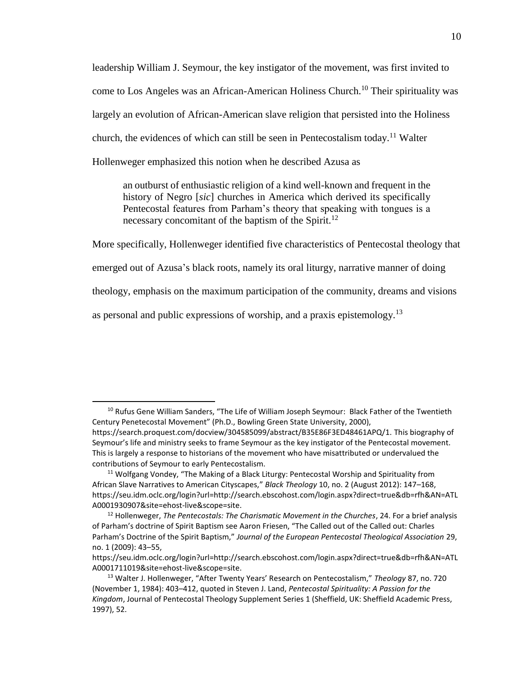leadership William J. Seymour, the key instigator of the movement, was first invited to come to Los Angeles was an African-American Holiness Church.<sup>10</sup> Their spirituality was largely an evolution of African-American slave religion that persisted into the Holiness church, the evidences of which can still be seen in Pentecostalism today.<sup>11</sup> Walter Hollenweger emphasized this notion when he described Azusa as

an outburst of enthusiastic religion of a kind well-known and frequent in the history of Negro [*sic*] churches in America which derived its specifically Pentecostal features from Parham's theory that speaking with tongues is a necessary concomitant of the baptism of the Spirit.<sup>12</sup>

More specifically, Hollenweger identified five characteristics of Pentecostal theology that

emerged out of Azusa's black roots, namely its oral liturgy, narrative manner of doing

theology, emphasis on the maximum participation of the community, dreams and visions

as personal and public expressions of worship, and a praxis epistemology.<sup>13</sup>

l

<sup>&</sup>lt;sup>10</sup> Rufus Gene William Sanders, "The Life of William Joseph Seymour: Black Father of the Twentieth Century Penetecostal Movement" (Ph.D., Bowling Green State University, 2000),

https://search.proquest.com/docview/304585099/abstract/B35E86F3ED48461APQ/1. This biography of Seymour's life and ministry seeks to frame Seymour as the key instigator of the Pentecostal movement. This is largely a response to historians of the movement who have misattributed or undervalued the contributions of Seymour to early Pentecostalism.

<sup>&</sup>lt;sup>11</sup> Wolfgang Vondey, "The Making of a Black Liturgy: Pentecostal Worship and Spirituality from African Slave Narratives to American Cityscapes," *Black Theology* 10, no. 2 (August 2012): 147–168, https://seu.idm.oclc.org/login?url=http://search.ebscohost.com/login.aspx?direct=true&db=rfh&AN=ATL A0001930907&site=ehost-live&scope=site.

<sup>12</sup> Hollenweger, *The Pentecostals: The Charismatic Movement in the Churches*, 24. For a brief analysis of Parham's doctrine of Spirit Baptism see Aaron Friesen, "The Called out of the Called out: Charles Parham's Doctrine of the Spirit Baptism," *Journal of the European Pentecostal Theological Association* 29, no. 1 (2009): 43–55,

https://seu.idm.oclc.org/login?url=http://search.ebscohost.com/login.aspx?direct=true&db=rfh&AN=ATL A0001711019&site=ehost-live&scope=site.

<sup>13</sup> Walter J. Hollenweger, "After Twenty Years' Research on Pentecostalism," *Theology* 87, no. 720 (November 1, 1984): 403–412, quoted in Steven J. Land, *Pentecostal Spirituality: A Passion for the Kingdom*, Journal of Pentecostal Theology Supplement Series 1 (Sheffield, UK: Sheffield Academic Press, 1997), 52.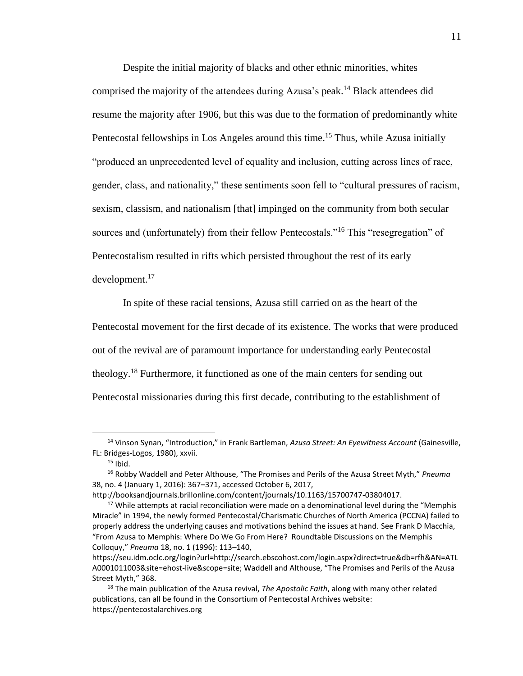Despite the initial majority of blacks and other ethnic minorities, whites comprised the majority of the attendees during Azusa's peak.<sup>14</sup> Black attendees did resume the majority after 1906, but this was due to the formation of predominantly white Pentecostal fellowships in Los Angeles around this time.<sup>15</sup> Thus, while Azusa initially "produced an unprecedented level of equality and inclusion, cutting across lines of race, gender, class, and nationality," these sentiments soon fell to "cultural pressures of racism, sexism, classism, and nationalism [that] impinged on the community from both secular sources and (unfortunately) from their fellow Pentecostals."<sup>16</sup> This "resegregation" of Pentecostalism resulted in rifts which persisted throughout the rest of its early  $d$ evelopment.<sup>17</sup>

In spite of these racial tensions, Azusa still carried on as the heart of the Pentecostal movement for the first decade of its existence. The works that were produced out of the revival are of paramount importance for understanding early Pentecostal theology.<sup>18</sup> Furthermore, it functioned as one of the main centers for sending out Pentecostal missionaries during this first decade, contributing to the establishment of

l

<sup>14</sup> Vinson Synan, "Introduction," in Frank Bartleman, *Azusa Street: An Eyewitness Account* (Gainesville, FL: Bridges-Logos, 1980), xxvii.

 $15$  Ibid.

<sup>16</sup> Robby Waddell and Peter Althouse, "The Promises and Perils of the Azusa Street Myth," *Pneuma* 38, no. 4 (January 1, 2016): 367–371, accessed October 6, 2017,

http://booksandjournals.brillonline.com/content/journals/10.1163/15700747-03804017.

<sup>&</sup>lt;sup>17</sup> While attempts at racial reconciliation were made on a denominational level during the "Memphis" Miracle" in 1994, the newly formed Pentecostal/Charismatic Churches of North America (PCCNA) failed to properly address the underlying causes and motivations behind the issues at hand. See Frank D Macchia, "From Azusa to Memphis: Where Do We Go From Here? Roundtable Discussions on the Memphis Colloquy," *Pneuma* 18, no. 1 (1996): 113–140,

https://seu.idm.oclc.org/login?url=http://search.ebscohost.com/login.aspx?direct=true&db=rfh&AN=ATL A0001011003&site=ehost-live&scope=site; Waddell and Althouse, "The Promises and Perils of the Azusa Street Myth," 368.

<sup>18</sup> The main publication of the Azusa revival, *The Apostolic Faith*, along with many other related publications, can all be found in the Consortium of Pentecostal Archives website: https://pentecostalarchives.org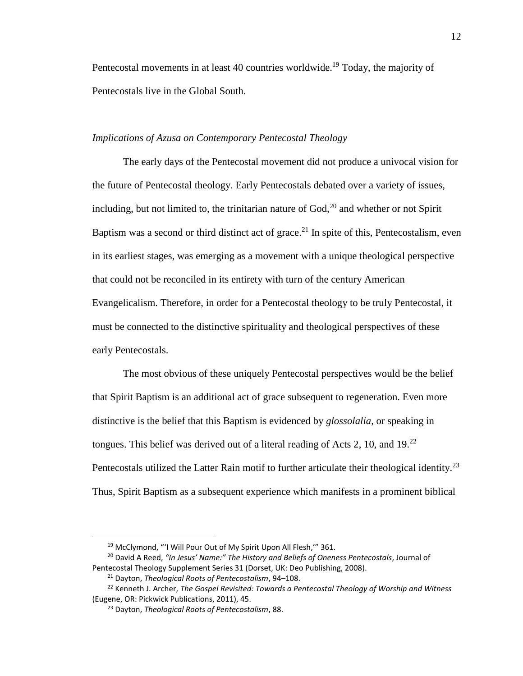Pentecostal movements in at least 40 countries worldwide.<sup>19</sup> Today, the majority of Pentecostals live in the Global South.

## *Implications of Azusa on Contemporary Pentecostal Theology*

The early days of the Pentecostal movement did not produce a univocal vision for the future of Pentecostal theology. Early Pentecostals debated over a variety of issues, including, but not limited to, the trinitarian nature of  $God<sub>i</sub><sup>20</sup>$  and whether or not Spirit Baptism was a second or third distinct act of grace.<sup>21</sup> In spite of this, Pentecostalism, even in its earliest stages, was emerging as a movement with a unique theological perspective that could not be reconciled in its entirety with turn of the century American Evangelicalism. Therefore, in order for a Pentecostal theology to be truly Pentecostal, it must be connected to the distinctive spirituality and theological perspectives of these early Pentecostals.

The most obvious of these uniquely Pentecostal perspectives would be the belief that Spirit Baptism is an additional act of grace subsequent to regeneration. Even more distinctive is the belief that this Baptism is evidenced by *glossolalia*, or speaking in tongues. This belief was derived out of a literal reading of Acts 2, 10, and  $19<sup>22</sup>$ Pentecostals utilized the Latter Rain motif to further articulate their theological identity.<sup>23</sup> Thus, Spirit Baptism as a subsequent experience which manifests in a prominent biblical

<sup>&</sup>lt;sup>19</sup> McClymond, "'I Will Pour Out of My Spirit Upon All Flesh," 361.

<sup>20</sup> David A Reed, *"In Jesus' Name:" The History and Beliefs of Oneness Pentecostals*, Journal of Pentecostal Theology Supplement Series 31 (Dorset, UK: Deo Publishing, 2008).

<sup>21</sup> Dayton, *Theological Roots of Pentecostalism*, 94–108.

<sup>22</sup> Kenneth J. Archer, *The Gospel Revisited: Towards a Pentecostal Theology of Worship and Witness* (Eugene, OR: Pickwick Publications, 2011), 45.

<sup>23</sup> Dayton, *Theological Roots of Pentecostalism*, 88.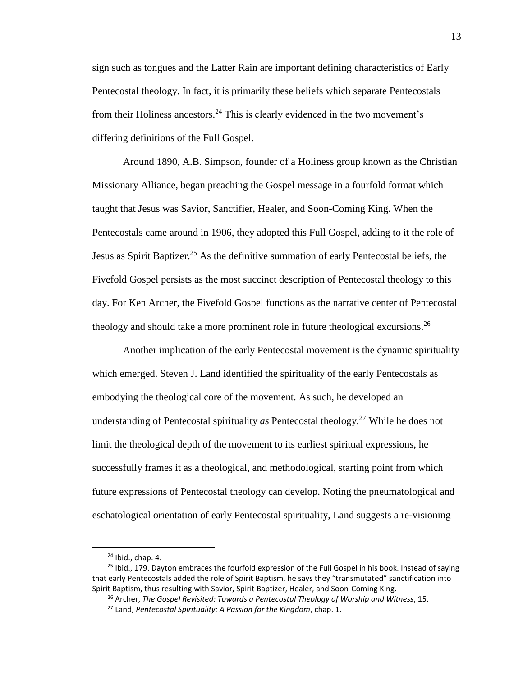sign such as tongues and the Latter Rain are important defining characteristics of Early Pentecostal theology. In fact, it is primarily these beliefs which separate Pentecostals from their Holiness ancestors.<sup>24</sup> This is clearly evidenced in the two movement's differing definitions of the Full Gospel.

Around 1890, A.B. Simpson, founder of a Holiness group known as the Christian Missionary Alliance, began preaching the Gospel message in a fourfold format which taught that Jesus was Savior, Sanctifier, Healer, and Soon-Coming King. When the Pentecostals came around in 1906, they adopted this Full Gospel, adding to it the role of Jesus as Spirit Baptizer.<sup>25</sup> As the definitive summation of early Pentecostal beliefs, the Fivefold Gospel persists as the most succinct description of Pentecostal theology to this day. For Ken Archer, the Fivefold Gospel functions as the narrative center of Pentecostal theology and should take a more prominent role in future theological excursions.<sup>26</sup>

Another implication of the early Pentecostal movement is the dynamic spirituality which emerged. Steven J. Land identified the spirituality of the early Pentecostals as embodying the theological core of the movement. As such, he developed an understanding of Pentecostal spirituality *as* Pentecostal theology.<sup>27</sup> While he does not limit the theological depth of the movement to its earliest spiritual expressions, he successfully frames it as a theological, and methodological, starting point from which future expressions of Pentecostal theology can develop. Noting the pneumatological and eschatological orientation of early Pentecostal spirituality, Land suggests a re-visioning

l

<sup>24</sup> Ibid., chap. 4.

 $^{25}$  Ibid., 179. Dayton embraces the fourfold expression of the Full Gospel in his book. Instead of saying that early Pentecostals added the role of Spirit Baptism, he says they "transmutated" sanctification into Spirit Baptism, thus resulting with Savior, Spirit Baptizer, Healer, and Soon-Coming King.

<sup>26</sup> Archer, *The Gospel Revisited: Towards a Pentecostal Theology of Worship and Witness*, 15.

<sup>27</sup> Land, *Pentecostal Spirituality: A Passion for the Kingdom*, chap. 1.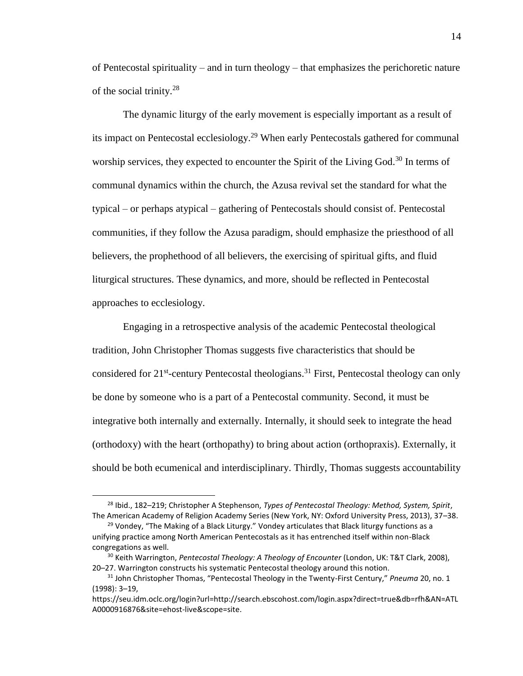of Pentecostal spirituality – and in turn theology – that emphasizes the perichoretic nature of the social trinity.<sup>28</sup>

The dynamic liturgy of the early movement is especially important as a result of its impact on Pentecostal ecclesiology.<sup>29</sup> When early Pentecostals gathered for communal worship services, they expected to encounter the Spirit of the Living God.<sup>30</sup> In terms of communal dynamics within the church, the Azusa revival set the standard for what the typical – or perhaps atypical – gathering of Pentecostals should consist of. Pentecostal communities, if they follow the Azusa paradigm, should emphasize the priesthood of all believers, the prophethood of all believers, the exercising of spiritual gifts, and fluid liturgical structures. These dynamics, and more, should be reflected in Pentecostal approaches to ecclesiology.

Engaging in a retrospective analysis of the academic Pentecostal theological tradition, John Christopher Thomas suggests five characteristics that should be considered for 21<sup>st</sup>-century Pentecostal theologians.<sup>31</sup> First, Pentecostal theology can only be done by someone who is a part of a Pentecostal community. Second, it must be integrative both internally and externally. Internally, it should seek to integrate the head (orthodoxy) with the heart (orthopathy) to bring about action (orthopraxis). Externally, it should be both ecumenical and interdisciplinary. Thirdly, Thomas suggests accountability

<sup>28</sup> Ibid., 182–219; Christopher A Stephenson, *Types of Pentecostal Theology: Method, System, Spirit*, The American Academy of Religion Academy Series (New York, NY: Oxford University Press, 2013), 37–38.

 $29$  Vondey, "The Making of a Black Liturgy." Vondey articulates that Black liturgy functions as a unifying practice among North American Pentecostals as it has entrenched itself within non-Black congregations as well.

<sup>30</sup> Keith Warrington, *Pentecostal Theology: A Theology of Encounter* (London, UK: T&T Clark, 2008), 20–27. Warrington constructs his systematic Pentecostal theology around this notion.

<sup>31</sup> John Christopher Thomas, "Pentecostal Theology in the Twenty-First Century," *Pneuma* 20, no. 1 (1998): 3–19,

https://seu.idm.oclc.org/login?url=http://search.ebscohost.com/login.aspx?direct=true&db=rfh&AN=ATL A0000916876&site=ehost-live&scope=site.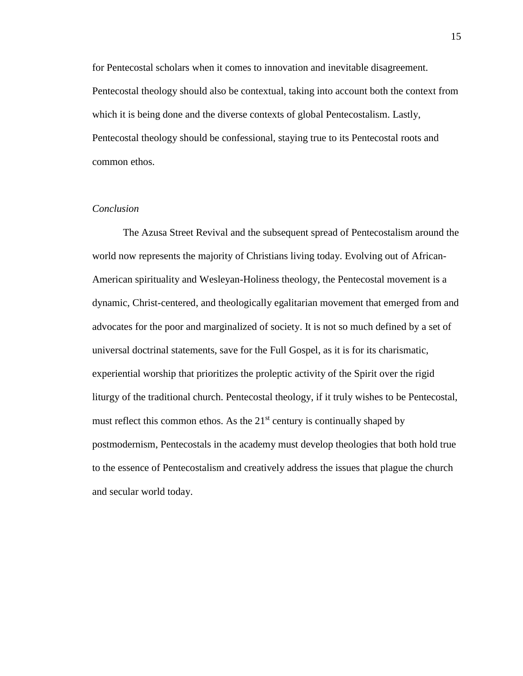for Pentecostal scholars when it comes to innovation and inevitable disagreement. Pentecostal theology should also be contextual, taking into account both the context from which it is being done and the diverse contexts of global Pentecostalism. Lastly, Pentecostal theology should be confessional, staying true to its Pentecostal roots and common ethos.

### *Conclusion*

The Azusa Street Revival and the subsequent spread of Pentecostalism around the world now represents the majority of Christians living today. Evolving out of African-American spirituality and Wesleyan-Holiness theology, the Pentecostal movement is a dynamic, Christ-centered, and theologically egalitarian movement that emerged from and advocates for the poor and marginalized of society. It is not so much defined by a set of universal doctrinal statements, save for the Full Gospel, as it is for its charismatic, experiential worship that prioritizes the proleptic activity of the Spirit over the rigid liturgy of the traditional church. Pentecostal theology, if it truly wishes to be Pentecostal, must reflect this common ethos. As the  $21<sup>st</sup>$  century is continually shaped by postmodernism, Pentecostals in the academy must develop theologies that both hold true to the essence of Pentecostalism and creatively address the issues that plague the church and secular world today.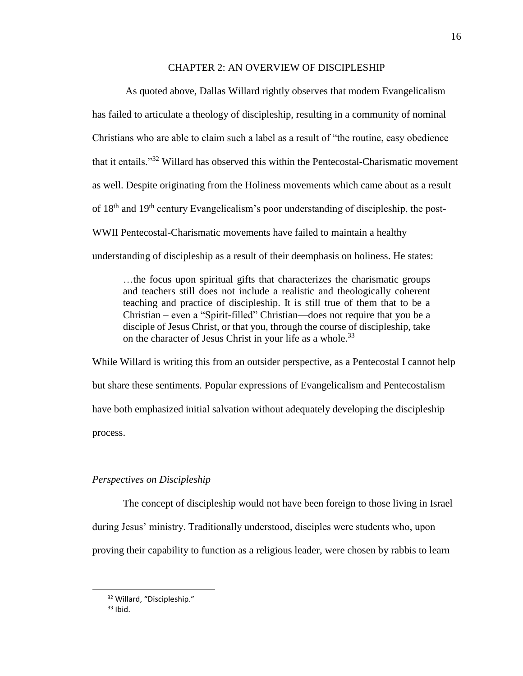#### CHAPTER 2: AN OVERVIEW OF DISCIPLESHIP

As quoted above, Dallas Willard rightly observes that modern Evangelicalism has failed to articulate a theology of discipleship, resulting in a community of nominal Christians who are able to claim such a label as a result of "the routine, easy obedience that it entails."<sup>32</sup> Willard has observed this within the Pentecostal-Charismatic movement as well. Despite originating from the Holiness movements which came about as a result of 18th and 19th century Evangelicalism's poor understanding of discipleship, the post-WWII Pentecostal-Charismatic movements have failed to maintain a healthy understanding of discipleship as a result of their deemphasis on holiness. He states:

…the focus upon spiritual gifts that characterizes the charismatic groups and teachers still does not include a realistic and theologically coherent teaching and practice of discipleship. It is still true of them that to be a Christian – even a "Spirit-filled" Christian—does not require that you be a disciple of Jesus Christ, or that you, through the course of discipleship, take on the character of Jesus Christ in your life as a whole.<sup>33</sup>

While Willard is writing this from an outsider perspective, as a Pentecostal I cannot help but share these sentiments. Popular expressions of Evangelicalism and Pentecostalism have both emphasized initial salvation without adequately developing the discipleship process.

## *Perspectives on Discipleship*

The concept of discipleship would not have been foreign to those living in Israel during Jesus' ministry. Traditionally understood, disciples were students who, upon proving their capability to function as a religious leader, were chosen by rabbis to learn

<sup>32</sup> Willard, "Discipleship."

 $33$  Ibid.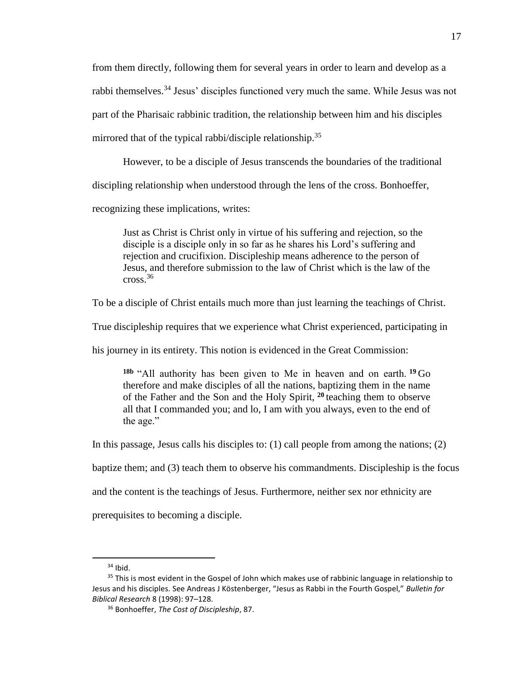from them directly, following them for several years in order to learn and develop as a rabbi themselves.<sup>34</sup> Jesus' disciples functioned very much the same. While Jesus was not part of the Pharisaic rabbinic tradition, the relationship between him and his disciples mirrored that of the typical rabbi/disciple relationship.<sup>35</sup>

However, to be a disciple of Jesus transcends the boundaries of the traditional

discipling relationship when understood through the lens of the cross. Bonhoeffer,

recognizing these implications, writes:

Just as Christ is Christ only in virtue of his suffering and rejection, so the disciple is a disciple only in so far as he shares his Lord's suffering and rejection and crucifixion. Discipleship means adherence to the person of Jesus, and therefore submission to the law of Christ which is the law of the cross.<sup>36</sup>

To be a disciple of Christ entails much more than just learning the teachings of Christ.

True discipleship requires that we experience what Christ experienced, participating in

his journey in its entirety. This notion is evidenced in the Great Commission:

**18b** "All authority has been given to Me in heaven and on earth. **<sup>19</sup>** Go therefore and make disciples of all the nations, baptizing them in the name of the Father and the Son and the Holy Spirit, **<sup>20</sup>** teaching them to observe all that I commanded you; and lo, I am with you always, even to the end of the age."

In this passage, Jesus calls his disciples to: (1) call people from among the nations; (2)

baptize them; and (3) teach them to observe his commandments. Discipleship is the focus

and the content is the teachings of Jesus. Furthermore, neither sex nor ethnicity are

prerequisites to becoming a disciple.

 $34$  Ibid.

<sup>&</sup>lt;sup>35</sup> This is most evident in the Gospel of John which makes use of rabbinic language in relationship to Jesus and his disciples. See Andreas J Köstenberger, "Jesus as Rabbi in the Fourth Gospel," *Bulletin for Biblical Research* 8 (1998): 97–128.

<sup>36</sup> Bonhoeffer, *The Cost of Discipleship*, 87.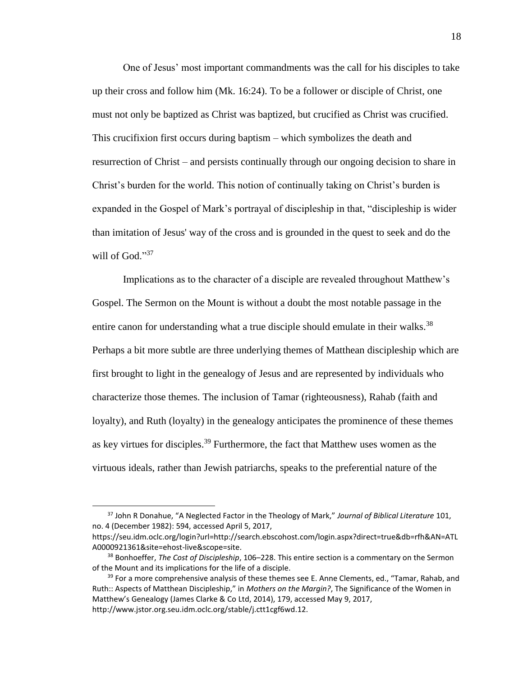One of Jesus' most important commandments was the call for his disciples to take up their cross and follow him (Mk. 16:24). To be a follower or disciple of Christ, one must not only be baptized as Christ was baptized, but crucified as Christ was crucified. This crucifixion first occurs during baptism – which symbolizes the death and resurrection of Christ – and persists continually through our ongoing decision to share in Christ's burden for the world. This notion of continually taking on Christ's burden is expanded in the Gospel of Mark's portrayal of discipleship in that, "discipleship is wider than imitation of Jesus' way of the cross and is grounded in the quest to seek and do the will of God."<sup>37</sup>

Implications as to the character of a disciple are revealed throughout Matthew's Gospel. The Sermon on the Mount is without a doubt the most notable passage in the entire canon for understanding what a true disciple should emulate in their walks.<sup>38</sup> Perhaps a bit more subtle are three underlying themes of Matthean discipleship which are first brought to light in the genealogy of Jesus and are represented by individuals who characterize those themes. The inclusion of Tamar (righteousness), Rahab (faith and loyalty), and Ruth (loyalty) in the genealogy anticipates the prominence of these themes as key virtues for disciples.<sup>39</sup> Furthermore, the fact that Matthew uses women as the virtuous ideals, rather than Jewish patriarchs, speaks to the preferential nature of the

 $\overline{a}$ 

<sup>37</sup> John R Donahue, "A Neglected Factor in the Theology of Mark," *Journal of Biblical Literature* 101, no. 4 (December 1982): 594, accessed April 5, 2017,

https://seu.idm.oclc.org/login?url=http://search.ebscohost.com/login.aspx?direct=true&db=rfh&AN=ATL A0000921361&site=ehost-live&scope=site.

<sup>38</sup> Bonhoeffer, *The Cost of Discipleship*, 106–228. This entire section is a commentary on the Sermon of the Mount and its implications for the life of a disciple.

 $39$  For a more comprehensive analysis of these themes see E. Anne Clements, ed., "Tamar, Rahab, and Ruth:: Aspects of Matthean Discipleship," in *Mothers on the Margin?*, The Significance of the Women in Matthew's Genealogy (James Clarke & Co Ltd, 2014), 179, accessed May 9, 2017, http://www.jstor.org.seu.idm.oclc.org/stable/j.ctt1cgf6wd.12.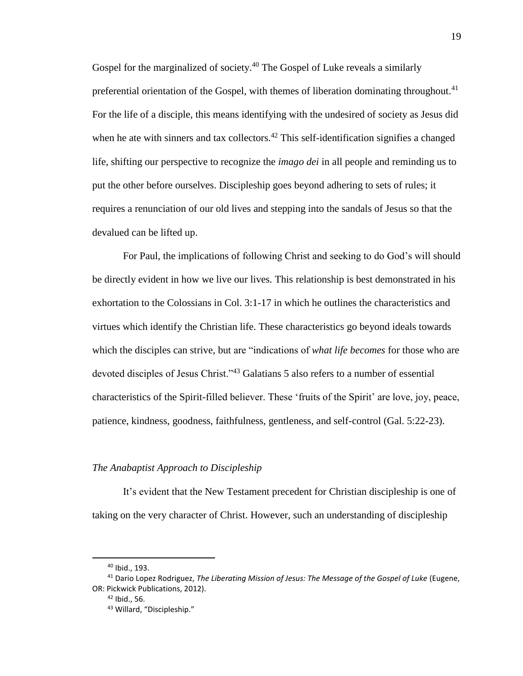Gospel for the marginalized of society.<sup>40</sup> The Gospel of Luke reveals a similarly preferential orientation of the Gospel, with themes of liberation dominating throughout.<sup>41</sup> For the life of a disciple, this means identifying with the undesired of society as Jesus did when he ate with sinners and tax collectors.<sup>42</sup> This self-identification signifies a changed life, shifting our perspective to recognize the *imago dei* in all people and reminding us to put the other before ourselves. Discipleship goes beyond adhering to sets of rules; it requires a renunciation of our old lives and stepping into the sandals of Jesus so that the devalued can be lifted up.

For Paul, the implications of following Christ and seeking to do God's will should be directly evident in how we live our lives. This relationship is best demonstrated in his exhortation to the Colossians in Col. 3:1-17 in which he outlines the characteristics and virtues which identify the Christian life. These characteristics go beyond ideals towards which the disciples can strive, but are "indications of *what life becomes* for those who are devoted disciples of Jesus Christ."<sup>43</sup> Galatians 5 also refers to a number of essential characteristics of the Spirit-filled believer. These 'fruits of the Spirit' are love, joy, peace, patience, kindness, goodness, faithfulness, gentleness, and self-control (Gal. 5:22-23).

#### *The Anabaptist Approach to Discipleship*

It's evident that the New Testament precedent for Christian discipleship is one of taking on the very character of Christ. However, such an understanding of discipleship

<sup>40</sup> Ibid., 193.

<sup>41</sup> Dario Lopez Rodriguez, *The Liberating Mission of Jesus: The Message of the Gospel of Luke* (Eugene, OR: Pickwick Publications, 2012).

 $42$  Ibid., 56.

<sup>43</sup> Willard, "Discipleship."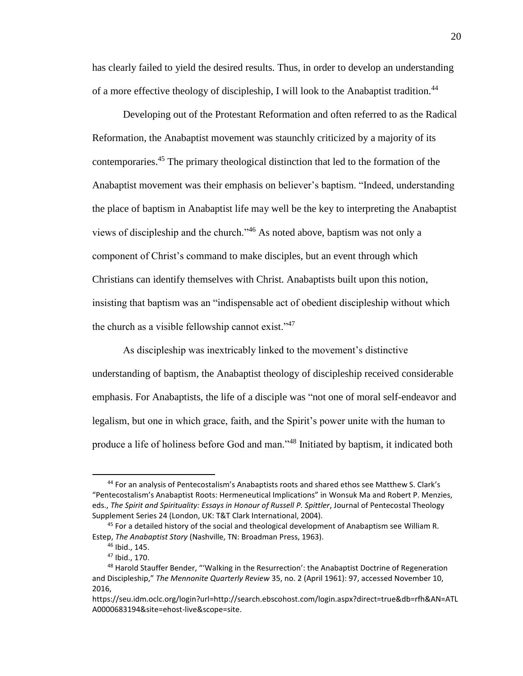has clearly failed to yield the desired results. Thus, in order to develop an understanding of a more effective theology of discipleship, I will look to the Anabaptist tradition.<sup>44</sup>

Developing out of the Protestant Reformation and often referred to as the Radical Reformation, the Anabaptist movement was staunchly criticized by a majority of its contemporaries.<sup>45</sup> The primary theological distinction that led to the formation of the Anabaptist movement was their emphasis on believer's baptism. "Indeed, understanding the place of baptism in Anabaptist life may well be the key to interpreting the Anabaptist views of discipleship and the church."<sup>46</sup> As noted above, baptism was not only a component of Christ's command to make disciples, but an event through which Christians can identify themselves with Christ. Anabaptists built upon this notion, insisting that baptism was an "indispensable act of obedient discipleship without which the church as a visible fellowship cannot exist." $47$ 

As discipleship was inextricably linked to the movement's distinctive understanding of baptism, the Anabaptist theology of discipleship received considerable emphasis. For Anabaptists, the life of a disciple was "not one of moral self-endeavor and legalism, but one in which grace, faith, and the Spirit's power unite with the human to produce a life of holiness before God and man."<sup>48</sup> Initiated by baptism, it indicated both

<sup>44</sup> For an analysis of Pentecostalism's Anabaptists roots and shared ethos see Matthew S. Clark's "Pentecostalism's Anabaptist Roots: Hermeneutical Implications" in Wonsuk Ma and Robert P. Menzies, eds., *The Spirit and Spirituality: Essays in Honour of Russell P. Spittler*, Journal of Pentecostal Theology Supplement Series 24 (London, UK: T&T Clark International, 2004).

<sup>&</sup>lt;sup>45</sup> For a detailed history of the social and theological development of Anabaptism see William R. Estep, *The Anabaptist Story* (Nashville, TN: Broadman Press, 1963).

<sup>46</sup> Ibid., 145.

<sup>47</sup> Ibid., 170.

<sup>48</sup> Harold Stauffer Bender, "'Walking in the Resurrection': the Anabaptist Doctrine of Regeneration and Discipleship," *The Mennonite Quarterly Review* 35, no. 2 (April 1961): 97, accessed November 10, 2016,

https://seu.idm.oclc.org/login?url=http://search.ebscohost.com/login.aspx?direct=true&db=rfh&AN=ATL A0000683194&site=ehost-live&scope=site.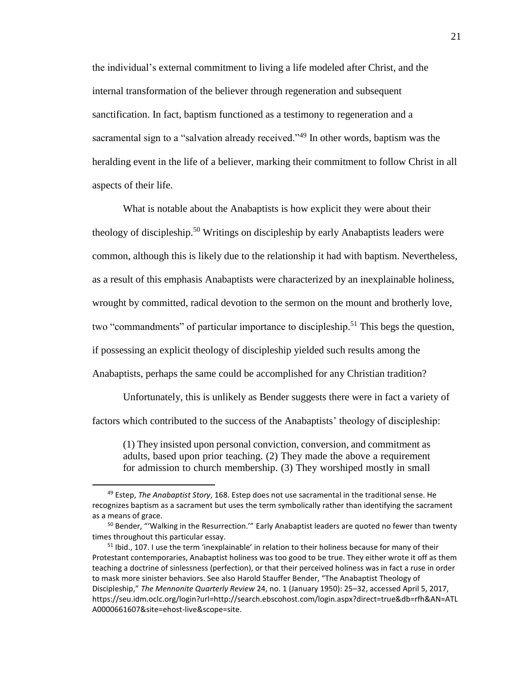the individual's external commitment to living a life modeled after Christ, and the internal transformation of the believer through regeneration and subsequent sanctification. In fact, baptism functioned as a testimony to regeneration and a sacramental sign to a "salvation already received."<sup>49</sup> In other words, baptism was the heralding event in the life of a believer, marking their commitment to follow Christ in all aspects of their life.

What is notable about the Anabaptists is how explicit they were about their theology of discipleship.<sup>50</sup> Writings on discipleship by early Anabaptists leaders were common, although this is likely due to the relationship it had with baptism. Nevertheless, as a result of this emphasis Anabaptists were characterized by an inexplainable holiness, wrought by committed, radical devotion to the sermon on the mount and brotherly love, two "commandments" of particular importance to discipleship.<sup>51</sup> This begs the question, if possessing an explicit theology of discipleship yielded such results among the Anabaptists, perhaps the same could be accomplished for any Christian tradition?

Unfortunately, this is unlikely as Bender suggests there were in fact a variety of factors which contributed to the success of the Anabaptists' theology of discipleship:

(1) They insisted upon personal conviction, conversion, and commitment as adults, based upon prior teaching. (2) They made the above a requirement for admission to church membership. (3) They worshiped mostly in small

<sup>49</sup> Estep, *The Anabaptist Story*, 168. Estep does not use sacramental in the traditional sense. He recognizes baptism as a sacrament but uses the term symbolically rather than identifying the sacrament as a means of grace.

<sup>&</sup>lt;sup>50</sup> Bender, "'Walking in the Resurrection.'" Early Anabaptist leaders are quoted no fewer than twenty times throughout this particular essay.

<sup>&</sup>lt;sup>51</sup> Ibid., 107. I use the term 'inexplainable' in relation to their holiness because for many of their Protestant contemporaries, Anabaptist holiness was too good to be true. They either wrote it off as them teaching a doctrine of sinlessness (perfection), or that their perceived holiness was in fact a ruse in order to mask more sinister behaviors. See also Harold Stauffer Bender, "The Anabaptist Theology of Discipleship," *The Mennonite Quarterly Review* 24, no. 1 (January 1950): 25–32, accessed April 5, 2017, https://seu.idm.oclc.org/login?url=http://search.ebscohost.com/login.aspx?direct=true&db=rfh&AN=ATL A0000661607&site=ehost-live&scope=site.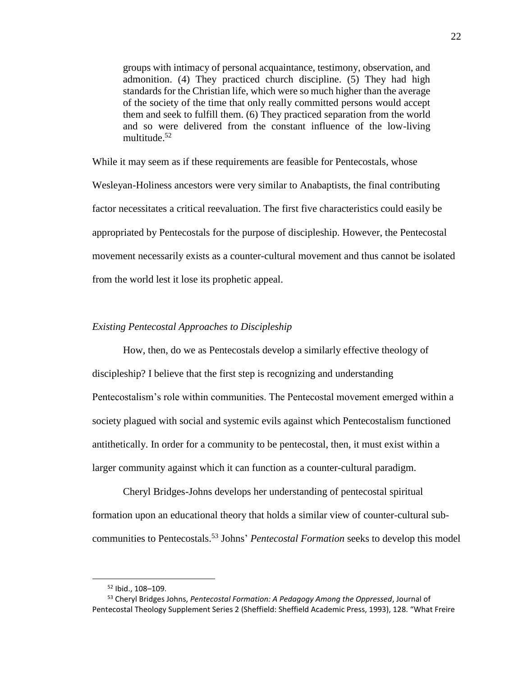groups with intimacy of personal acquaintance, testimony, observation, and admonition. (4) They practiced church discipline. (5) They had high standards for the Christian life, which were so much higher than the average of the society of the time that only really committed persons would accept them and seek to fulfill them. (6) They practiced separation from the world and so were delivered from the constant influence of the low-living multitude.<sup>52</sup>

While it may seem as if these requirements are feasible for Pentecostals, whose Wesleyan-Holiness ancestors were very similar to Anabaptists, the final contributing factor necessitates a critical reevaluation. The first five characteristics could easily be appropriated by Pentecostals for the purpose of discipleship. However, the Pentecostal movement necessarily exists as a counter-cultural movement and thus cannot be isolated from the world lest it lose its prophetic appeal.

#### *Existing Pentecostal Approaches to Discipleship*

How, then, do we as Pentecostals develop a similarly effective theology of discipleship? I believe that the first step is recognizing and understanding Pentecostalism's role within communities. The Pentecostal movement emerged within a society plagued with social and systemic evils against which Pentecostalism functioned antithetically. In order for a community to be pentecostal, then, it must exist within a larger community against which it can function as a counter-cultural paradigm.

Cheryl Bridges-Johns develops her understanding of pentecostal spiritual formation upon an educational theory that holds a similar view of counter-cultural subcommunities to Pentecostals.<sup>53</sup> Johns' *Pentecostal Formation* seeks to develop this model

 $\overline{a}$ 

<sup>52</sup> Ibid., 108–109.

<sup>53</sup> Cheryl Bridges Johns, *Pentecostal Formation: A Pedagogy Among the Oppressed*, Journal of Pentecostal Theology Supplement Series 2 (Sheffield: Sheffield Academic Press, 1993), 128. "What Freire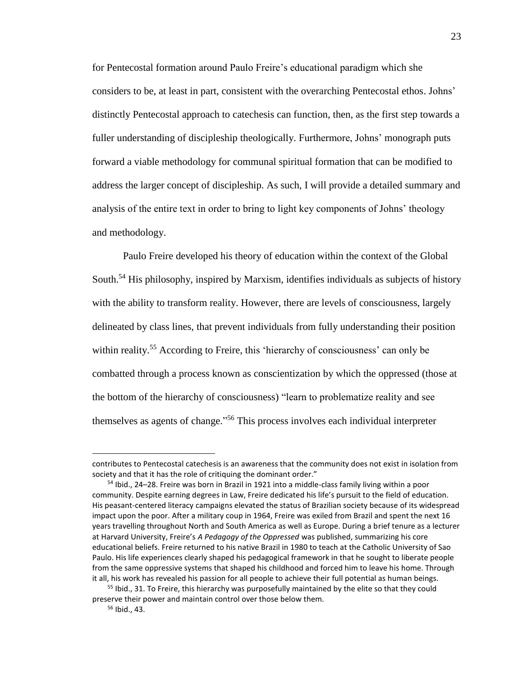for Pentecostal formation around Paulo Freire's educational paradigm which she considers to be, at least in part, consistent with the overarching Pentecostal ethos. Johns' distinctly Pentecostal approach to catechesis can function, then, as the first step towards a fuller understanding of discipleship theologically. Furthermore, Johns' monograph puts forward a viable methodology for communal spiritual formation that can be modified to address the larger concept of discipleship. As such, I will provide a detailed summary and analysis of the entire text in order to bring to light key components of Johns' theology and methodology.

Paulo Freire developed his theory of education within the context of the Global South.<sup>54</sup> His philosophy, inspired by Marxism, identifies individuals as subjects of history with the ability to transform reality. However, there are levels of consciousness, largely delineated by class lines, that prevent individuals from fully understanding their position within reality.<sup>55</sup> According to Freire, this 'hierarchy of consciousness' can only be combatted through a process known as conscientization by which the oppressed (those at the bottom of the hierarchy of consciousness) "learn to problematize reality and see themselves as agents of change." <sup>56</sup> This process involves each individual interpreter

 $\overline{a}$ 

contributes to Pentecostal catechesis is an awareness that the community does not exist in isolation from society and that it has the role of critiquing the dominant order."

<sup>54</sup> Ibid., 24–28. Freire was born in Brazil in 1921 into a middle-class family living within a poor community. Despite earning degrees in Law, Freire dedicated his life's pursuit to the field of education. His peasant-centered literacy campaigns elevated the status of Brazilian society because of its widespread impact upon the poor. After a military coup in 1964, Freire was exiled from Brazil and spent the next 16 years travelling throughout North and South America as well as Europe. During a brief tenure as a lecturer at Harvard University, Freire's *A Pedagogy of the Oppressed* was published, summarizing his core educational beliefs. Freire returned to his native Brazil in 1980 to teach at the Catholic University of Sao Paulo. His life experiences clearly shaped his pedagogical framework in that he sought to liberate people from the same oppressive systems that shaped his childhood and forced him to leave his home. Through it all, his work has revealed his passion for all people to achieve their full potential as human beings.

<sup>&</sup>lt;sup>55</sup> Ibid., 31. To Freire, this hierarchy was purposefully maintained by the elite so that they could preserve their power and maintain control over those below them.

<sup>56</sup> Ibid., 43.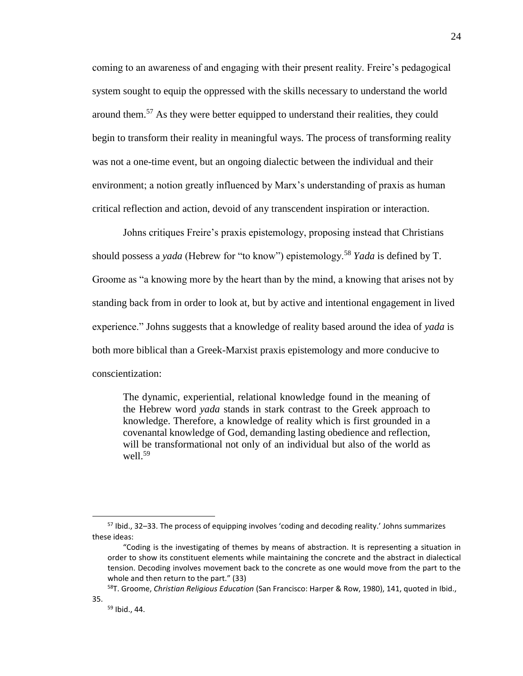coming to an awareness of and engaging with their present reality. Freire's pedagogical system sought to equip the oppressed with the skills necessary to understand the world around them.<sup>57</sup> As they were better equipped to understand their realities, they could begin to transform their reality in meaningful ways. The process of transforming reality was not a one-time event, but an ongoing dialectic between the individual and their environment; a notion greatly influenced by Marx's understanding of praxis as human critical reflection and action, devoid of any transcendent inspiration or interaction.

Johns critiques Freire's praxis epistemology, proposing instead that Christians should possess a *yada* (Hebrew for "to know") epistemology.<sup>58</sup> *Yada* is defined by T. Groome as "a knowing more by the heart than by the mind, a knowing that arises not by standing back from in order to look at, but by active and intentional engagement in lived experience." Johns suggests that a knowledge of reality based around the idea of *yada* is both more biblical than a Greek-Marxist praxis epistemology and more conducive to conscientization:

The dynamic, experiential, relational knowledge found in the meaning of the Hebrew word *yada* stands in stark contrast to the Greek approach to knowledge. Therefore, a knowledge of reality which is first grounded in a covenantal knowledge of God, demanding lasting obedience and reflection, will be transformational not only of an individual but also of the world as well. $59$ 

<sup>58</sup>T. Groome, *Christian Religious Education* (San Francisco: Harper & Row, 1980), 141, quoted in Ibid., 35.

<sup>57</sup> Ibid., 32–33. The process of equipping involves 'coding and decoding reality.' Johns summarizes these ideas:

<sup>&</sup>quot;Coding is the investigating of themes by means of abstraction. It is representing a situation in order to show its constituent elements while maintaining the concrete and the abstract in dialectical tension. Decoding involves movement back to the concrete as one would move from the part to the whole and then return to the part." (33)

<sup>59</sup> Ibid., 44.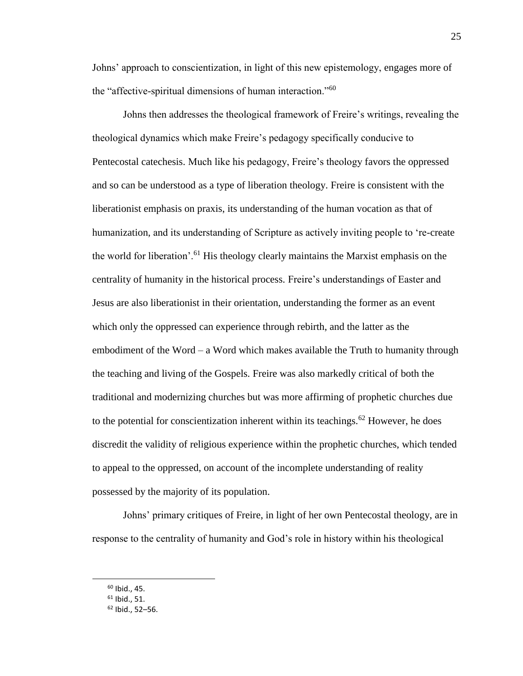Johns' approach to conscientization, in light of this new epistemology, engages more of the "affective-spiritual dimensions of human interaction."<sup>60</sup>

Johns then addresses the theological framework of Freire's writings, revealing the theological dynamics which make Freire's pedagogy specifically conducive to Pentecostal catechesis. Much like his pedagogy, Freire's theology favors the oppressed and so can be understood as a type of liberation theology. Freire is consistent with the liberationist emphasis on praxis, its understanding of the human vocation as that of humanization, and its understanding of Scripture as actively inviting people to 're-create the world for liberation'.<sup>61</sup> His theology clearly maintains the Marxist emphasis on the centrality of humanity in the historical process. Freire's understandings of Easter and Jesus are also liberationist in their orientation, understanding the former as an event which only the oppressed can experience through rebirth, and the latter as the embodiment of the Word – a Word which makes available the Truth to humanity through the teaching and living of the Gospels. Freire was also markedly critical of both the traditional and modernizing churches but was more affirming of prophetic churches due to the potential for conscientization inherent within its teachings.<sup>62</sup> However, he does discredit the validity of religious experience within the prophetic churches, which tended to appeal to the oppressed, on account of the incomplete understanding of reality possessed by the majority of its population.

Johns' primary critiques of Freire, in light of her own Pentecostal theology, are in response to the centrality of humanity and God's role in history within his theological

 $\overline{a}$ 

 $60$  Ibid., 45.

 $61$  Ibid., 51.

 $62$  Ibid., 52-56.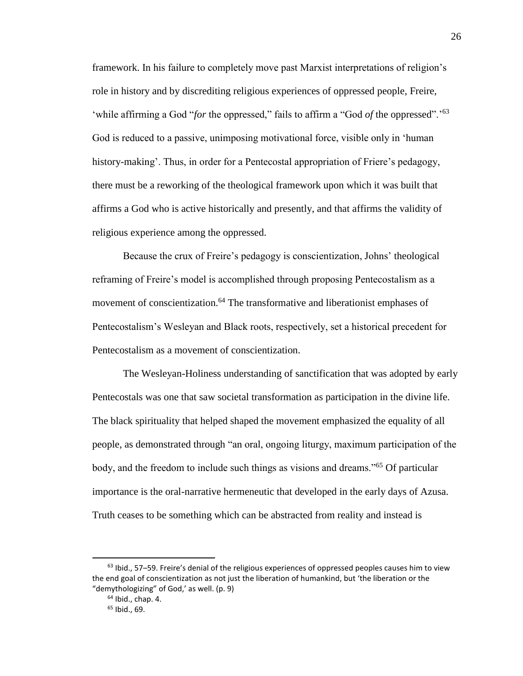framework. In his failure to completely move past Marxist interpretations of religion's role in history and by discrediting religious experiences of oppressed people, Freire, 'while affirming a God "*for* the oppressed," fails to affirm a "God *of* the oppressed".'<sup>63</sup> God is reduced to a passive, unimposing motivational force, visible only in 'human history-making'. Thus, in order for a Pentecostal appropriation of Friere's pedagogy, there must be a reworking of the theological framework upon which it was built that affirms a God who is active historically and presently, and that affirms the validity of religious experience among the oppressed.

Because the crux of Freire's pedagogy is conscientization, Johns' theological reframing of Freire's model is accomplished through proposing Pentecostalism as a movement of conscientization.<sup>64</sup> The transformative and liberationist emphases of Pentecostalism's Wesleyan and Black roots, respectively, set a historical precedent for Pentecostalism as a movement of conscientization.

The Wesleyan-Holiness understanding of sanctification that was adopted by early Pentecostals was one that saw societal transformation as participation in the divine life. The black spirituality that helped shaped the movement emphasized the equality of all people, as demonstrated through "an oral, ongoing liturgy, maximum participation of the body, and the freedom to include such things as visions and dreams."<sup>65</sup> Of particular importance is the oral-narrative hermeneutic that developed in the early days of Azusa. Truth ceases to be something which can be abstracted from reality and instead is

 $63$  lbid., 57–59. Freire's denial of the religious experiences of oppressed peoples causes him to view the end goal of conscientization as not just the liberation of humankind, but 'the liberation or the "demythologizing" of God,' as well. (p. 9)

 $64$  Ibid., chap. 4.

<sup>65</sup> Ibid., 69.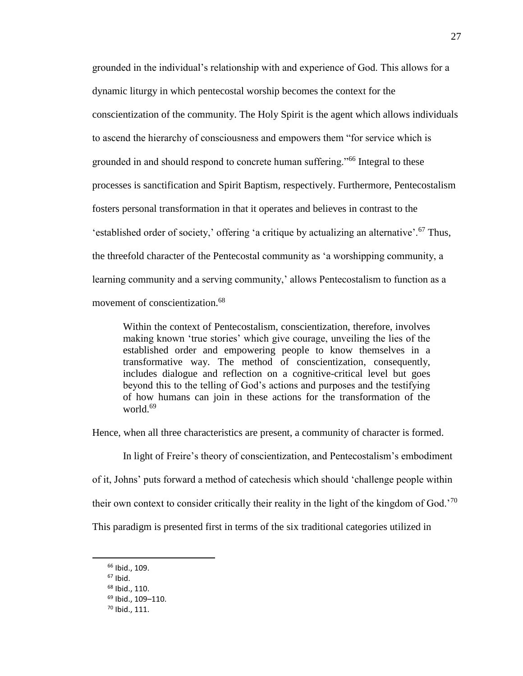grounded in the individual's relationship with and experience of God. This allows for a dynamic liturgy in which pentecostal worship becomes the context for the conscientization of the community. The Holy Spirit is the agent which allows individuals to ascend the hierarchy of consciousness and empowers them "for service which is grounded in and should respond to concrete human suffering."<sup>66</sup> Integral to these processes is sanctification and Spirit Baptism, respectively. Furthermore, Pentecostalism fosters personal transformation in that it operates and believes in contrast to the 'established order of society,' offering 'a critique by actualizing an alternative'.<sup>67</sup> Thus, the threefold character of the Pentecostal community as 'a worshipping community, a learning community and a serving community,' allows Pentecostalism to function as a movement of conscientization.<sup>68</sup>

Within the context of Pentecostalism, conscientization, therefore, involves making known 'true stories' which give courage, unveiling the lies of the established order and empowering people to know themselves in a transformative way. The method of conscientization, consequently, includes dialogue and reflection on a cognitive-critical level but goes beyond this to the telling of God's actions and purposes and the testifying of how humans can join in these actions for the transformation of the world.<sup>69</sup>

Hence, when all three characteristics are present, a community of character is formed.

In light of Freire's theory of conscientization, and Pentecostalism's embodiment

of it, Johns' puts forward a method of catechesis which should 'challenge people within

their own context to consider critically their reality in the light of the kingdom of God.<sup>'70</sup>

This paradigm is presented first in terms of the six traditional categories utilized in

<sup>66</sup> Ibid., 109.

 $67$  Ibid.

<sup>68</sup> Ibid., 110.

<sup>69</sup> Ibid., 109–110.

<sup>70</sup> Ibid., 111.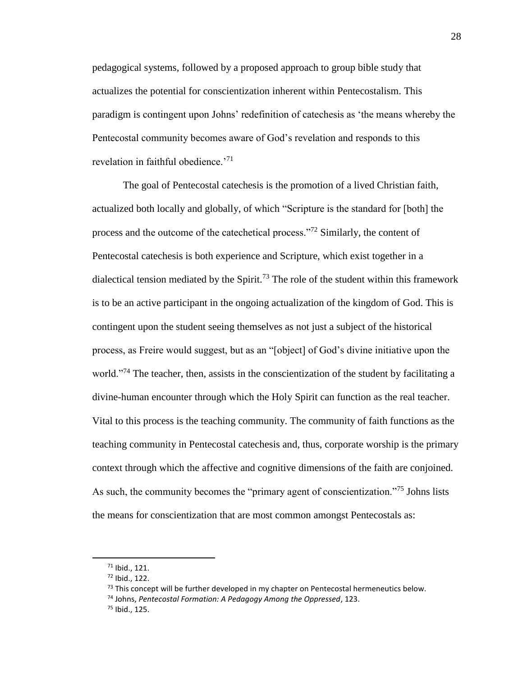pedagogical systems, followed by a proposed approach to group bible study that actualizes the potential for conscientization inherent within Pentecostalism. This paradigm is contingent upon Johns' redefinition of catechesis as 'the means whereby the Pentecostal community becomes aware of God's revelation and responds to this revelation in faithful obedience.<sup>'71</sup>

The goal of Pentecostal catechesis is the promotion of a lived Christian faith, actualized both locally and globally, of which "Scripture is the standard for [both] the process and the outcome of the catechetical process."<sup>72</sup> Similarly, the content of Pentecostal catechesis is both experience and Scripture, which exist together in a dialectical tension mediated by the Spirit.<sup>73</sup> The role of the student within this framework is to be an active participant in the ongoing actualization of the kingdom of God. This is contingent upon the student seeing themselves as not just a subject of the historical process, as Freire would suggest, but as an "[object] of God's divine initiative upon the world."<sup>74</sup> The teacher, then, assists in the conscientization of the student by facilitating a divine-human encounter through which the Holy Spirit can function as the real teacher. Vital to this process is the teaching community. The community of faith functions as the teaching community in Pentecostal catechesis and, thus, corporate worship is the primary context through which the affective and cognitive dimensions of the faith are conjoined. As such, the community becomes the "primary agent of conscientization."<sup>75</sup> Johns lists the means for conscientization that are most common amongst Pentecostals as:

<sup>71</sup> Ibid., 121.

<sup>72</sup> Ibid., 122.

 $73$  This concept will be further developed in my chapter on Pentecostal hermeneutics below.

<sup>74</sup> Johns, *Pentecostal Formation: A Pedagogy Among the Oppressed*, 123.

<sup>75</sup> Ibid., 125.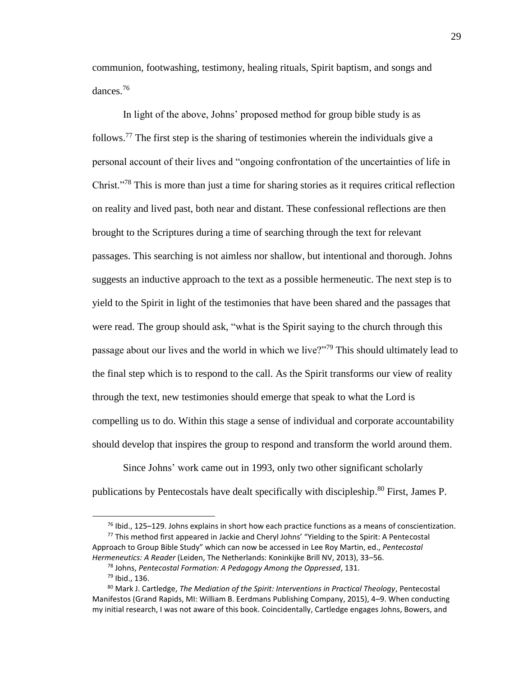communion, footwashing, testimony, healing rituals, Spirit baptism, and songs and dances.<sup>76</sup>

In light of the above, Johns' proposed method for group bible study is as follows.<sup>77</sup> The first step is the sharing of testimonies wherein the individuals give a personal account of their lives and "ongoing confrontation of the uncertainties of life in Christ."<sup>78</sup> This is more than just a time for sharing stories as it requires critical reflection on reality and lived past, both near and distant. These confessional reflections are then brought to the Scriptures during a time of searching through the text for relevant passages. This searching is not aimless nor shallow, but intentional and thorough. Johns suggests an inductive approach to the text as a possible hermeneutic. The next step is to yield to the Spirit in light of the testimonies that have been shared and the passages that were read. The group should ask, "what is the Spirit saying to the church through this passage about our lives and the world in which we live?"<sup>79</sup> This should ultimately lead to the final step which is to respond to the call. As the Spirit transforms our view of reality through the text, new testimonies should emerge that speak to what the Lord is compelling us to do. Within this stage a sense of individual and corporate accountability should develop that inspires the group to respond and transform the world around them.

Since Johns' work came out in 1993, only two other significant scholarly publications by Pentecostals have dealt specifically with discipleship.<sup>80</sup> First, James P.

 $76$  Ibid., 125–129. Johns explains in short how each practice functions as a means of conscientization.

 $77$  This method first appeared in Jackie and Cheryl Johns' "Yielding to the Spirit: A Pentecostal Approach to Group Bible Study" which can now be accessed in Lee Roy Martin, ed., *Pentecostal Hermeneutics: A Reader* (Leiden, The Netherlands: Koninkijke Brill NV, 2013), 33–56.

<sup>78</sup> Johns, *Pentecostal Formation: A Pedagogy Among the Oppressed*, 131.

<sup>79</sup> Ibid., 136.

<sup>80</sup> Mark J. Cartledge, *The Mediation of the Spirit: Interventions in Practical Theology*, Pentecostal Manifestos (Grand Rapids, MI: William B. Eerdmans Publishing Company, 2015), 4–9. When conducting my initial research, I was not aware of this book. Coincidentally, Cartledge engages Johns, Bowers, and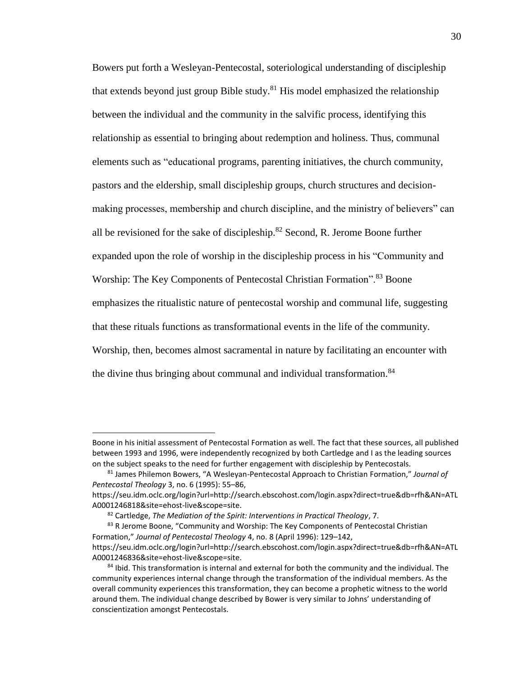Bowers put forth a Wesleyan-Pentecostal, soteriological understanding of discipleship that extends beyond just group Bible study.<sup>81</sup> His model emphasized the relationship between the individual and the community in the salvific process, identifying this relationship as essential to bringing about redemption and holiness. Thus, communal elements such as "educational programs, parenting initiatives, the church community, pastors and the eldership, small discipleship groups, church structures and decisionmaking processes, membership and church discipline, and the ministry of believers" can all be revisioned for the sake of discipleship.<sup>82</sup> Second, R. Jerome Boone further expanded upon the role of worship in the discipleship process in his "Community and Worship: The Key Components of Pentecostal Christian Formation".<sup>83</sup> Boone emphasizes the ritualistic nature of pentecostal worship and communal life, suggesting that these rituals functions as transformational events in the life of the community. Worship, then, becomes almost sacramental in nature by facilitating an encounter with the divine thus bringing about communal and individual transformation.<sup>84</sup>

l

Boone in his initial assessment of Pentecostal Formation as well. The fact that these sources, all published between 1993 and 1996, were independently recognized by both Cartledge and I as the leading sources on the subject speaks to the need for further engagement with discipleship by Pentecostals.

<sup>81</sup> James Philemon Bowers, "A Wesleyan-Pentecostal Approach to Christian Formation," *Journal of Pentecostal Theology* 3, no. 6 (1995): 55–86,

https://seu.idm.oclc.org/login?url=http://search.ebscohost.com/login.aspx?direct=true&db=rfh&AN=ATL A0001246818&site=ehost-live&scope=site.

<sup>82</sup> Cartledge, *The Mediation of the Spirit: Interventions in Practical Theology*, 7.

<sup>&</sup>lt;sup>83</sup> R Jerome Boone, "Community and Worship: The Key Components of Pentecostal Christian Formation," *Journal of Pentecostal Theology* 4, no. 8 (April 1996): 129–142, https://seu.idm.oclc.org/login?url=http://search.ebscohost.com/login.aspx?direct=true&db=rfh&AN=ATL

A0001246836&site=ehost-live&scope=site.

<sup>84</sup> Ibid. This transformation is internal and external for both the community and the individual. The community experiences internal change through the transformation of the individual members. As the overall community experiences this transformation, they can become a prophetic witness to the world around them. The individual change described by Bower is very similar to Johns' understanding of conscientization amongst Pentecostals.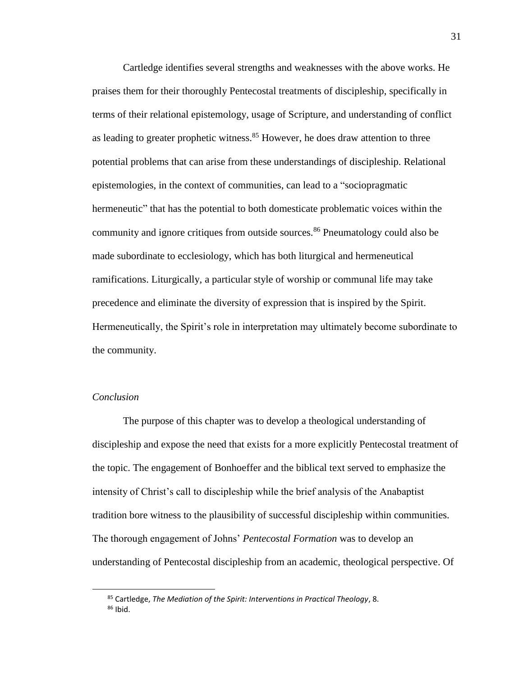Cartledge identifies several strengths and weaknesses with the above works. He praises them for their thoroughly Pentecostal treatments of discipleship, specifically in terms of their relational epistemology, usage of Scripture, and understanding of conflict as leading to greater prophetic witness.<sup>85</sup> However, he does draw attention to three potential problems that can arise from these understandings of discipleship. Relational epistemologies, in the context of communities, can lead to a "sociopragmatic hermeneutic" that has the potential to both domesticate problematic voices within the community and ignore critiques from outside sources.<sup>86</sup> Pneumatology could also be made subordinate to ecclesiology, which has both liturgical and hermeneutical ramifications. Liturgically, a particular style of worship or communal life may take precedence and eliminate the diversity of expression that is inspired by the Spirit. Hermeneutically, the Spirit's role in interpretation may ultimately become subordinate to the community.

## *Conclusion*

 $\overline{\phantom{a}}$ 

The purpose of this chapter was to develop a theological understanding of discipleship and expose the need that exists for a more explicitly Pentecostal treatment of the topic. The engagement of Bonhoeffer and the biblical text served to emphasize the intensity of Christ's call to discipleship while the brief analysis of the Anabaptist tradition bore witness to the plausibility of successful discipleship within communities. The thorough engagement of Johns' *Pentecostal Formation* was to develop an understanding of Pentecostal discipleship from an academic, theological perspective. Of

<sup>85</sup> Cartledge, *The Mediation of the Spirit: Interventions in Practical Theology*, 8. <sup>86</sup> Ibid.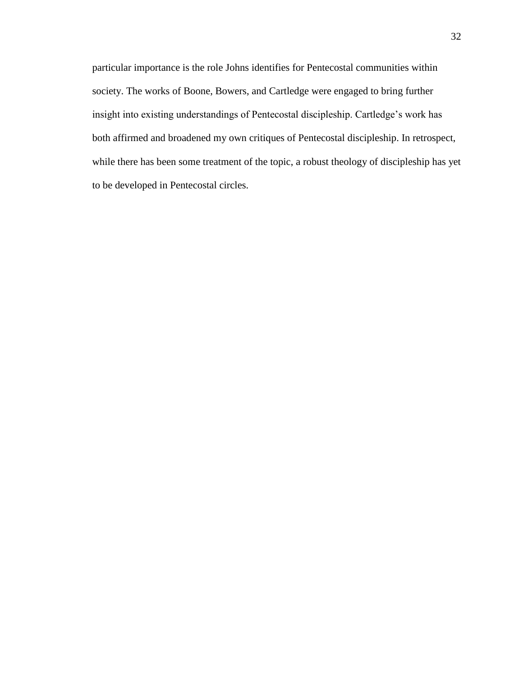particular importance is the role Johns identifies for Pentecostal communities within society. The works of Boone, Bowers, and Cartledge were engaged to bring further insight into existing understandings of Pentecostal discipleship. Cartledge's work has both affirmed and broadened my own critiques of Pentecostal discipleship. In retrospect, while there has been some treatment of the topic, a robust theology of discipleship has yet to be developed in Pentecostal circles.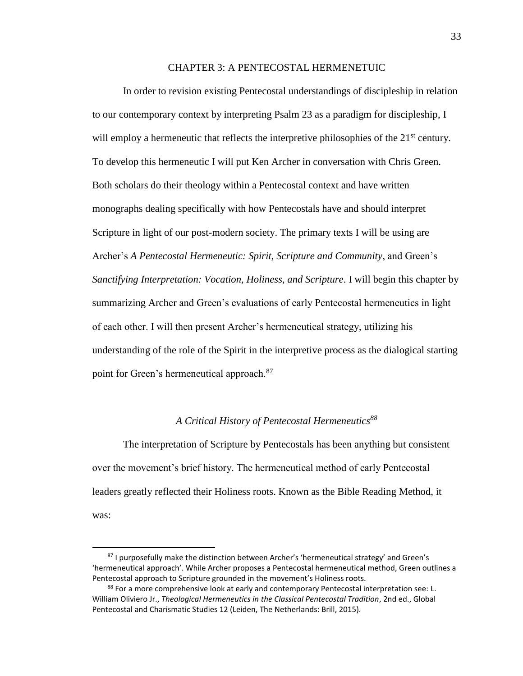#### CHAPTER 3: A PENTECOSTAL HERMENETUIC

In order to revision existing Pentecostal understandings of discipleship in relation to our contemporary context by interpreting Psalm 23 as a paradigm for discipleship, I will employ a hermeneutic that reflects the interpretive philosophies of the  $21<sup>st</sup>$  century. To develop this hermeneutic I will put Ken Archer in conversation with Chris Green. Both scholars do their theology within a Pentecostal context and have written monographs dealing specifically with how Pentecostals have and should interpret Scripture in light of our post-modern society. The primary texts I will be using are Archer's *A Pentecostal Hermeneutic: Spirit, Scripture and Community*, and Green's *Sanctifying Interpretation: Vocation, Holiness, and Scripture*. I will begin this chapter by summarizing Archer and Green's evaluations of early Pentecostal hermeneutics in light of each other. I will then present Archer's hermeneutical strategy, utilizing his understanding of the role of the Spirit in the interpretive process as the dialogical starting point for Green's hermeneutical approach.<sup>87</sup>

## *A Critical History of Pentecostal Hermeneutics<sup>88</sup>*

The interpretation of Scripture by Pentecostals has been anything but consistent over the movement's brief history. The hermeneutical method of early Pentecostal leaders greatly reflected their Holiness roots. Known as the Bible Reading Method, it was:

l

<sup>87</sup> I purposefully make the distinction between Archer's 'hermeneutical strategy' and Green's 'hermeneutical approach'. While Archer proposes a Pentecostal hermeneutical method, Green outlines a Pentecostal approach to Scripture grounded in the movement's Holiness roots.

<sup>88</sup> For a more comprehensive look at early and contemporary Pentecostal interpretation see: L. William Oliviero Jr., *Theological Hermeneutics in the Classical Pentecostal Tradition*, 2nd ed., Global Pentecostal and Charismatic Studies 12 (Leiden, The Netherlands: Brill, 2015).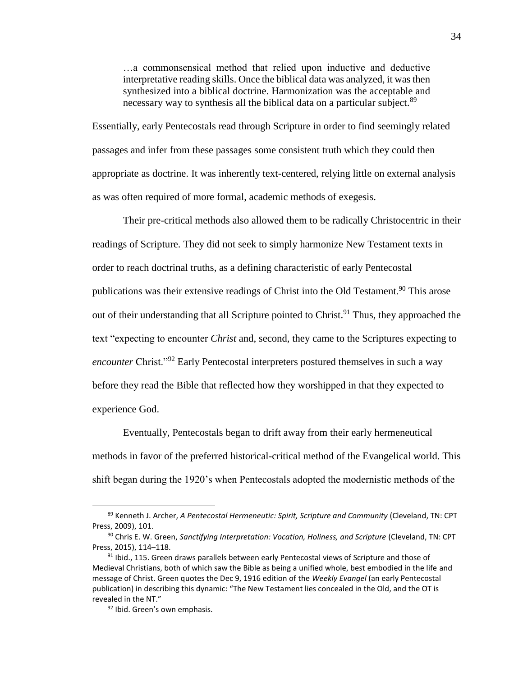…a commonsensical method that relied upon inductive and deductive interpretative reading skills. Once the biblical data was analyzed, it was then synthesized into a biblical doctrine. Harmonization was the acceptable and necessary way to synthesis all the biblical data on a particular subject.<sup>89</sup>

Essentially, early Pentecostals read through Scripture in order to find seemingly related passages and infer from these passages some consistent truth which they could then appropriate as doctrine. It was inherently text-centered, relying little on external analysis as was often required of more formal, academic methods of exegesis.

Their pre-critical methods also allowed them to be radically Christocentric in their readings of Scripture. They did not seek to simply harmonize New Testament texts in order to reach doctrinal truths, as a defining characteristic of early Pentecostal publications was their extensive readings of Christ into the Old Testament.<sup>90</sup> This arose out of their understanding that all Scripture pointed to Christ.<sup>91</sup> Thus, they approached the text "expecting to encounter *Christ* and, second, they came to the Scriptures expecting to *encounter* Christ."<sup>92</sup> Early Pentecostal interpreters postured themselves in such a way before they read the Bible that reflected how they worshipped in that they expected to experience God.

Eventually, Pentecostals began to drift away from their early hermeneutical methods in favor of the preferred historical-critical method of the Evangelical world. This shift began during the 1920's when Pentecostals adopted the modernistic methods of the

 $\overline{a}$ 

<sup>89</sup> Kenneth J. Archer, *A Pentecostal Hermeneutic: Spirit, Scripture and Community* (Cleveland, TN: CPT Press, 2009), 101.

<sup>90</sup> Chris E. W. Green, *Sanctifying Interpretation: Vocation, Holiness, and Scripture* (Cleveland, TN: CPT Press, 2015), 114–118.

 $91$  lbid., 115. Green draws parallels between early Pentecostal views of Scripture and those of Medieval Christians, both of which saw the Bible as being a unified whole, best embodied in the life and message of Christ. Green quotes the Dec 9, 1916 edition of the *Weekly Evangel* (an early Pentecostal publication) in describing this dynamic: "The New Testament lies concealed in the Old, and the OT is revealed in the NT."

<sup>92</sup> Ibid. Green's own emphasis.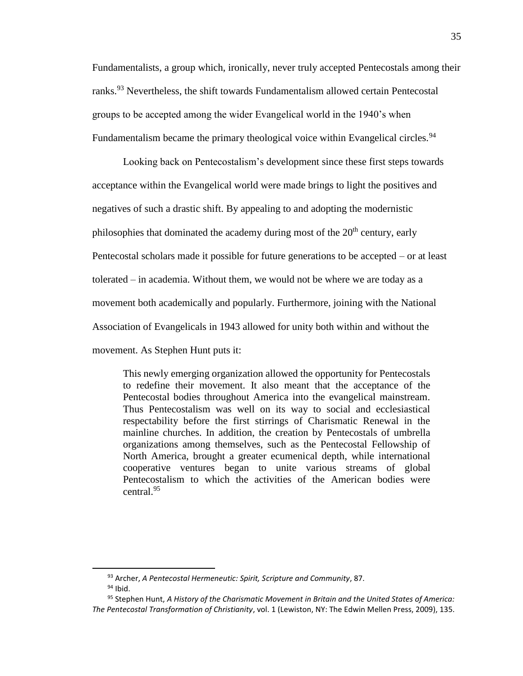Fundamentalists, a group which, ironically, never truly accepted Pentecostals among their ranks.<sup>93</sup> Nevertheless, the shift towards Fundamentalism allowed certain Pentecostal groups to be accepted among the wider Evangelical world in the 1940's when Fundamentalism became the primary theological voice within Evangelical circles.<sup>94</sup>

Looking back on Pentecostalism's development since these first steps towards acceptance within the Evangelical world were made brings to light the positives and negatives of such a drastic shift. By appealing to and adopting the modernistic philosophies that dominated the academy during most of the  $20<sup>th</sup>$  century, early Pentecostal scholars made it possible for future generations to be accepted – or at least tolerated – in academia. Without them, we would not be where we are today as a movement both academically and popularly. Furthermore, joining with the National Association of Evangelicals in 1943 allowed for unity both within and without the movement. As Stephen Hunt puts it:

This newly emerging organization allowed the opportunity for Pentecostals to redefine their movement. It also meant that the acceptance of the Pentecostal bodies throughout America into the evangelical mainstream. Thus Pentecostalism was well on its way to social and ecclesiastical respectability before the first stirrings of Charismatic Renewal in the mainline churches. In addition, the creation by Pentecostals of umbrella organizations among themselves, such as the Pentecostal Fellowship of North America, brought a greater ecumenical depth, while international cooperative ventures began to unite various streams of global Pentecostalism to which the activities of the American bodies were central.<sup>95</sup>

l

<sup>93</sup> Archer, *A Pentecostal Hermeneutic: Spirit, Scripture and Community*, 87.

 $94$  Ibid.

<sup>95</sup> Stephen Hunt, *A History of the Charismatic Movement in Britain and the United States of America: The Pentecostal Transformation of Christianity*, vol. 1 (Lewiston, NY: The Edwin Mellen Press, 2009), 135.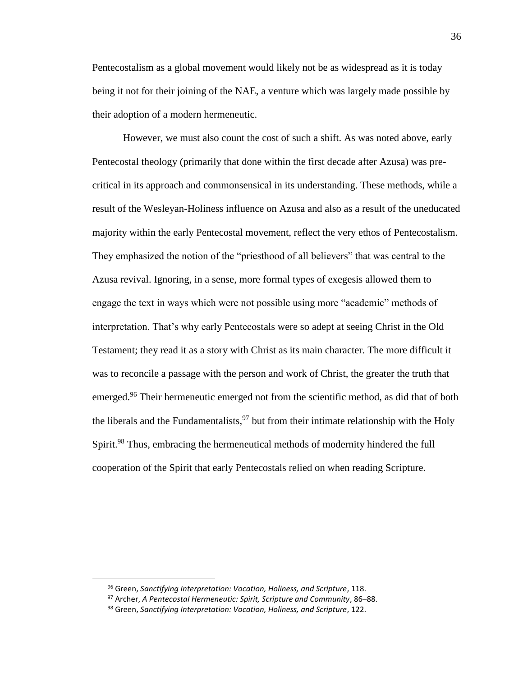Pentecostalism as a global movement would likely not be as widespread as it is today being it not for their joining of the NAE, a venture which was largely made possible by their adoption of a modern hermeneutic.

However, we must also count the cost of such a shift. As was noted above, early Pentecostal theology (primarily that done within the first decade after Azusa) was precritical in its approach and commonsensical in its understanding. These methods, while a result of the Wesleyan-Holiness influence on Azusa and also as a result of the uneducated majority within the early Pentecostal movement, reflect the very ethos of Pentecostalism. They emphasized the notion of the "priesthood of all believers" that was central to the Azusa revival. Ignoring, in a sense, more formal types of exegesis allowed them to engage the text in ways which were not possible using more "academic" methods of interpretation. That's why early Pentecostals were so adept at seeing Christ in the Old Testament; they read it as a story with Christ as its main character. The more difficult it was to reconcile a passage with the person and work of Christ, the greater the truth that emerged.<sup>96</sup> Their hermeneutic emerged not from the scientific method, as did that of both the liberals and the Fundamentalists,  $97$  but from their intimate relationship with the Holy Spirit.<sup>98</sup> Thus, embracing the hermeneutical methods of modernity hindered the full cooperation of the Spirit that early Pentecostals relied on when reading Scripture.

 $\overline{a}$ 

<sup>96</sup> Green, *Sanctifying Interpretation: Vocation, Holiness, and Scripture*, 118.

<sup>97</sup> Archer, *A Pentecostal Hermeneutic: Spirit, Scripture and Community*, 86–88.

<sup>98</sup> Green, *Sanctifying Interpretation: Vocation, Holiness, and Scripture*, 122.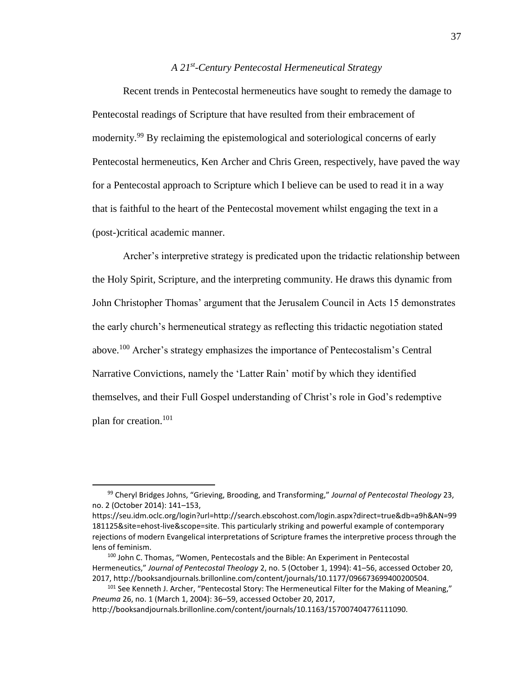# *A 21st -Century Pentecostal Hermeneutical Strategy*

Recent trends in Pentecostal hermeneutics have sought to remedy the damage to Pentecostal readings of Scripture that have resulted from their embracement of modernity.<sup>99</sup> By reclaiming the epistemological and soteriological concerns of early Pentecostal hermeneutics, Ken Archer and Chris Green, respectively, have paved the way for a Pentecostal approach to Scripture which I believe can be used to read it in a way that is faithful to the heart of the Pentecostal movement whilst engaging the text in a (post-)critical academic manner.

Archer's interpretive strategy is predicated upon the tridactic relationship between the Holy Spirit, Scripture, and the interpreting community. He draws this dynamic from John Christopher Thomas' argument that the Jerusalem Council in Acts 15 demonstrates the early church's hermeneutical strategy as reflecting this tridactic negotiation stated above.<sup>100</sup> Archer's strategy emphasizes the importance of Pentecostalism's Central Narrative Convictions, namely the 'Latter Rain' motif by which they identified themselves, and their Full Gospel understanding of Christ's role in God's redemptive plan for creation. 101

<sup>99</sup> Cheryl Bridges Johns, "Grieving, Brooding, and Transforming," *Journal of Pentecostal Theology* 23, no. 2 (October 2014): 141–153,

https://seu.idm.oclc.org/login?url=http://search.ebscohost.com/login.aspx?direct=true&db=a9h&AN=99 181125&site=ehost-live&scope=site. This particularly striking and powerful example of contemporary rejections of modern Evangelical interpretations of Scripture frames the interpretive process through the lens of feminism.

<sup>&</sup>lt;sup>100</sup> John C. Thomas, "Women, Pentecostals and the Bible: An Experiment in Pentecostal Hermeneutics," *Journal of Pentecostal Theology* 2, no. 5 (October 1, 1994): 41–56, accessed October 20, 2017, http://booksandjournals.brillonline.com/content/journals/10.1177/096673699400200504.

<sup>&</sup>lt;sup>101</sup> See Kenneth J. Archer, "Pentecostal Story: The Hermeneutical Filter for the Making of Meaning," *Pneuma* 26, no. 1 (March 1, 2004): 36–59, accessed October 20, 2017,

http://booksandjournals.brillonline.com/content/journals/10.1163/157007404776111090.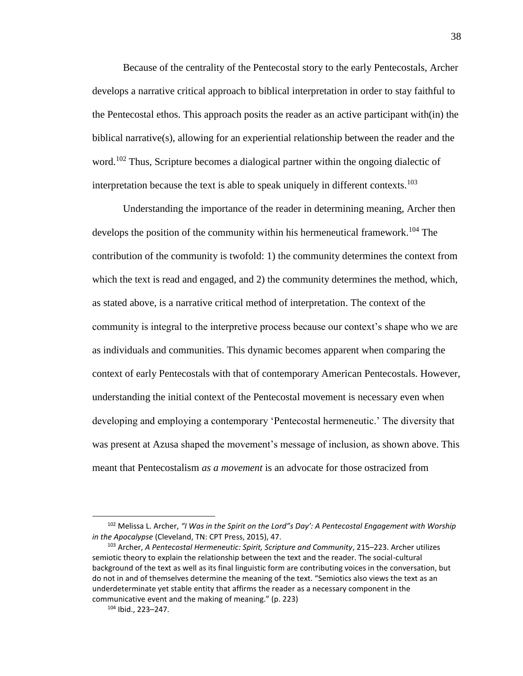Because of the centrality of the Pentecostal story to the early Pentecostals, Archer develops a narrative critical approach to biblical interpretation in order to stay faithful to the Pentecostal ethos. This approach posits the reader as an active participant with(in) the biblical narrative(s), allowing for an experiential relationship between the reader and the word.<sup>102</sup> Thus, Scripture becomes a dialogical partner within the ongoing dialectic of interpretation because the text is able to speak uniquely in different contexts.<sup>103</sup>

Understanding the importance of the reader in determining meaning, Archer then develops the position of the community within his hermeneutical framework.<sup>104</sup> The contribution of the community is twofold: 1) the community determines the context from which the text is read and engaged, and 2) the community determines the method, which, as stated above, is a narrative critical method of interpretation. The context of the community is integral to the interpretive process because our context's shape who we are as individuals and communities. This dynamic becomes apparent when comparing the context of early Pentecostals with that of contemporary American Pentecostals. However, understanding the initial context of the Pentecostal movement is necessary even when developing and employing a contemporary 'Pentecostal hermeneutic.' The diversity that was present at Azusa shaped the movement's message of inclusion, as shown above. This meant that Pentecostalism *as a movement* is an advocate for those ostracized from

<sup>102</sup> Melissa L. Archer, *"I Was in the Spirit on the Lord"s Day': A Pentecostal Engagement with Worship in the Apocalypse* (Cleveland, TN: CPT Press, 2015), 47.

<sup>103</sup> Archer, *A Pentecostal Hermeneutic: Spirit, Scripture and Community*, 215–223. Archer utilizes semiotic theory to explain the relationship between the text and the reader. The social-cultural background of the text as well as its final linguistic form are contributing voices in the conversation, but do not in and of themselves determine the meaning of the text. "Semiotics also views the text as an underdeterminate yet stable entity that affirms the reader as a necessary component in the communicative event and the making of meaning." (p. 223)

<sup>104</sup> Ibid., 223–247.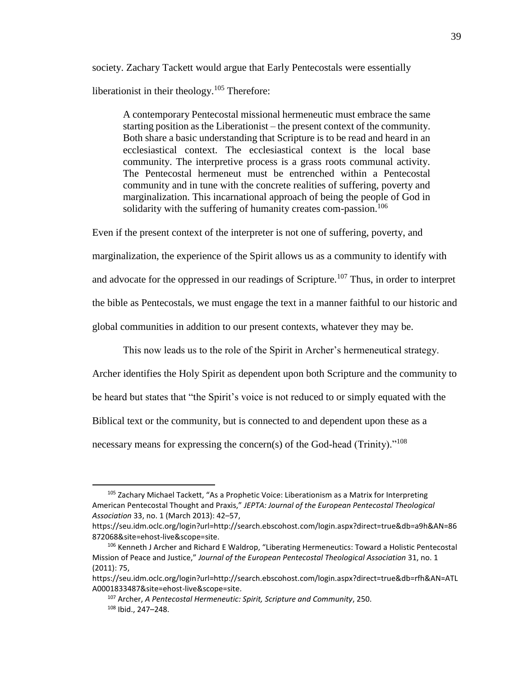society. Zachary Tackett would argue that Early Pentecostals were essentially liberationist in their theology.<sup>105</sup> Therefore:

A contemporary Pentecostal missional hermeneutic must embrace the same starting position as the Liberationist – the present context of the community. Both share a basic understanding that Scripture is to be read and heard in an ecclesiastical context. The ecclesiastical context is the local base community. The interpretive process is a grass roots communal activity. The Pentecostal hermeneut must be entrenched within a Pentecostal community and in tune with the concrete realities of suffering, poverty and marginalization. This incarnational approach of being the people of God in solidarity with the suffering of humanity creates com-passion.<sup>106</sup>

Even if the present context of the interpreter is not one of suffering, poverty, and

marginalization, the experience of the Spirit allows us as a community to identify with

and advocate for the oppressed in our readings of Scripture.<sup>107</sup> Thus, in order to interpret

the bible as Pentecostals, we must engage the text in a manner faithful to our historic and

global communities in addition to our present contexts, whatever they may be.

This now leads us to the role of the Spirit in Archer's hermeneutical strategy.

Archer identifies the Holy Spirit as dependent upon both Scripture and the community to be heard but states that "the Spirit's voice is not reduced to or simply equated with the Biblical text or the community, but is connected to and dependent upon these as a necessary means for expressing the concern(s) of the God-head (Trinity)."<sup>108</sup>

 $105$  Zachary Michael Tackett, "As a Prophetic Voice: Liberationism as a Matrix for Interpreting American Pentecostal Thought and Praxis," *JEPTA: Journal of the European Pentecostal Theological Association* 33, no. 1 (March 2013): 42–57,

https://seu.idm.oclc.org/login?url=http://search.ebscohost.com/login.aspx?direct=true&db=a9h&AN=86 872068&site=ehost-live&scope=site.

<sup>106</sup> Kenneth J Archer and Richard E Waldrop, "Liberating Hermeneutics: Toward a Holistic Pentecostal Mission of Peace and Justice," *Journal of the European Pentecostal Theological Association* 31, no. 1 (2011): 75,

https://seu.idm.oclc.org/login?url=http://search.ebscohost.com/login.aspx?direct=true&db=rfh&AN=ATL A0001833487&site=ehost-live&scope=site.

<sup>107</sup> Archer, *A Pentecostal Hermeneutic: Spirit, Scripture and Community*, 250. <sup>108</sup> Ibid., 247–248.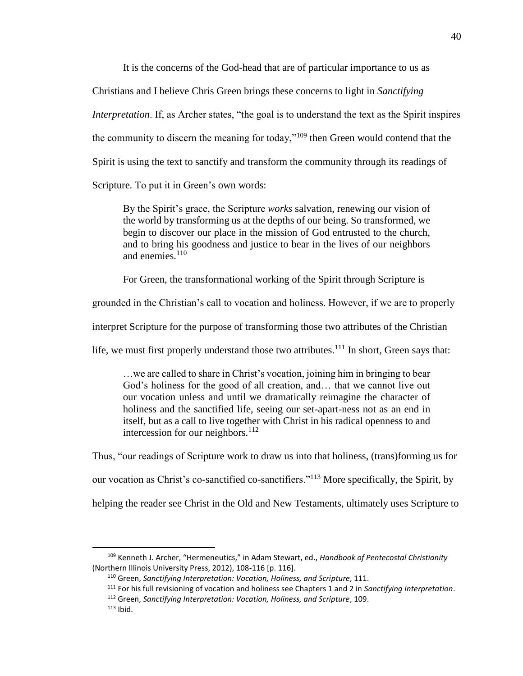It is the concerns of the God-head that are of particular importance to us as

Christians and I believe Chris Green brings these concerns to light in *Sanctifying* 

*Interpretation*. If, as Archer states, "the goal is to understand the text as the Spirit inspires

the community to discern the meaning for today,"<sup>109</sup> then Green would contend that the

Spirit is using the text to sanctify and transform the community through its readings of

Scripture. To put it in Green's own words:

By the Spirit's grace, the Scripture *works* salvation, renewing our vision of the world by transforming us at the depths of our being. So transformed, we begin to discover our place in the mission of God entrusted to the church, and to bring his goodness and justice to bear in the lives of our neighbors and enemies.<sup>110</sup>

For Green, the transformational working of the Spirit through Scripture is

grounded in the Christian's call to vocation and holiness. However, if we are to properly

interpret Scripture for the purpose of transforming those two attributes of the Christian

life, we must first properly understand those two attributes. $111$  In short, Green says that:

…we are called to share in Christ's vocation, joining him in bringing to bear God's holiness for the good of all creation, and… that we cannot live out our vocation unless and until we dramatically reimagine the character of holiness and the sanctified life, seeing our set-apart-ness not as an end in itself, but as a call to live together with Christ in his radical openness to and intercession for our neighbors.<sup>112</sup>

Thus, "our readings of Scripture work to draw us into that holiness, (trans)forming us for

our vocation as Christ's co-sanctified co-sanctifiers."<sup>113</sup> More specifically, the Spirit, by

helping the reader see Christ in the Old and New Testaments, ultimately uses Scripture to

l

<sup>109</sup> Kenneth J. Archer, "Hermeneutics," in Adam Stewart, ed., *Handbook of Pentecostal Christianity* (Northern Illinois University Press, 2012), 108-116 [p. 116].

<sup>110</sup> Green, *Sanctifying Interpretation: Vocation, Holiness, and Scripture*, 111.

<sup>111</sup> For his full revisioning of vocation and holiness see Chapters 1 and 2 in *Sanctifying Interpretation*.

<sup>112</sup> Green, *Sanctifying Interpretation: Vocation, Holiness, and Scripture*, 109.

 $113$  Ibid.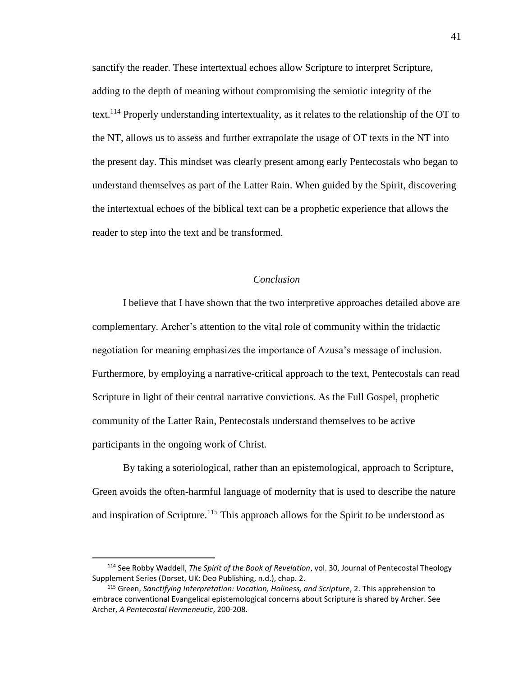sanctify the reader. These intertextual echoes allow Scripture to interpret Scripture, adding to the depth of meaning without compromising the semiotic integrity of the text.<sup>114</sup> Properly understanding intertextuality, as it relates to the relationship of the OT to the NT, allows us to assess and further extrapolate the usage of OT texts in the NT into the present day. This mindset was clearly present among early Pentecostals who began to understand themselves as part of the Latter Rain. When guided by the Spirit, discovering the intertextual echoes of the biblical text can be a prophetic experience that allows the reader to step into the text and be transformed.

#### *Conclusion*

I believe that I have shown that the two interpretive approaches detailed above are complementary. Archer's attention to the vital role of community within the tridactic negotiation for meaning emphasizes the importance of Azusa's message of inclusion. Furthermore, by employing a narrative-critical approach to the text, Pentecostals can read Scripture in light of their central narrative convictions. As the Full Gospel, prophetic community of the Latter Rain, Pentecostals understand themselves to be active participants in the ongoing work of Christ.

By taking a soteriological, rather than an epistemological, approach to Scripture, Green avoids the often-harmful language of modernity that is used to describe the nature and inspiration of Scripture.<sup>115</sup> This approach allows for the Spirit to be understood as

<sup>114</sup> See Robby Waddell, *The Spirit of the Book of Revelation*, vol. 30, Journal of Pentecostal Theology Supplement Series (Dorset, UK: Deo Publishing, n.d.), chap. 2.

<sup>115</sup> Green, *Sanctifying Interpretation: Vocation, Holiness, and Scripture*, 2. This apprehension to embrace conventional Evangelical epistemological concerns about Scripture is shared by Archer. See Archer, *A Pentecostal Hermeneutic*, 200-208.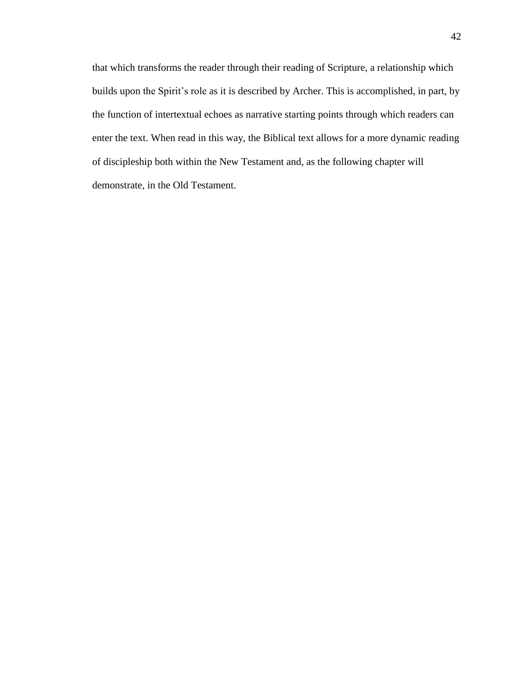that which transforms the reader through their reading of Scripture, a relationship which builds upon the Spirit's role as it is described by Archer. This is accomplished, in part, by the function of intertextual echoes as narrative starting points through which readers can enter the text. When read in this way, the Biblical text allows for a more dynamic reading of discipleship both within the New Testament and, as the following chapter will demonstrate, in the Old Testament.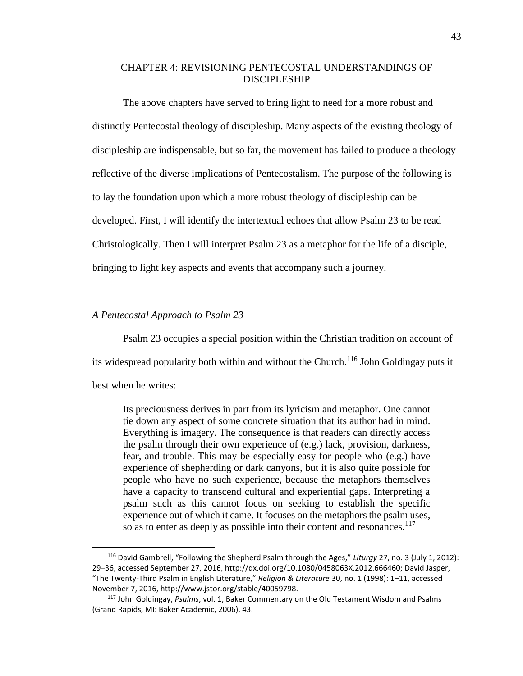## CHAPTER 4: REVISIONING PENTECOSTAL UNDERSTANDINGS OF DISCIPLESHIP

The above chapters have served to bring light to need for a more robust and distinctly Pentecostal theology of discipleship. Many aspects of the existing theology of discipleship are indispensable, but so far, the movement has failed to produce a theology reflective of the diverse implications of Pentecostalism. The purpose of the following is to lay the foundation upon which a more robust theology of discipleship can be developed. First, I will identify the intertextual echoes that allow Psalm 23 to be read Christologically. Then I will interpret Psalm 23 as a metaphor for the life of a disciple, bringing to light key aspects and events that accompany such a journey.

## *A Pentecostal Approach to Psalm 23*

Psalm 23 occupies a special position within the Christian tradition on account of its widespread popularity both within and without the Church.<sup>116</sup> John Goldingay puts it

best when he writes:

l

Its preciousness derives in part from its lyricism and metaphor. One cannot tie down any aspect of some concrete situation that its author had in mind. Everything is imagery. The consequence is that readers can directly access the psalm through their own experience of (e.g.) lack, provision, darkness, fear, and trouble. This may be especially easy for people who (e.g.) have experience of shepherding or dark canyons, but it is also quite possible for people who have no such experience, because the metaphors themselves have a capacity to transcend cultural and experiential gaps. Interpreting a psalm such as this cannot focus on seeking to establish the specific experience out of which it came. It focuses on the metaphors the psalm uses, so as to enter as deeply as possible into their content and resonances.<sup>117</sup>

<sup>116</sup> David Gambrell, "Following the Shepherd Psalm through the Ages," *Liturgy* 27, no. 3 (July 1, 2012): 29–36, accessed September 27, 2016, http://dx.doi.org/10.1080/0458063X.2012.666460; David Jasper, "The Twenty-Third Psalm in English Literature," *Religion & Literature* 30, no. 1 (1998): 1–11, accessed November 7, 2016, http://www.jstor.org/stable/40059798.

<sup>117</sup> John Goldingay, *Psalms*, vol. 1, Baker Commentary on the Old Testament Wisdom and Psalms (Grand Rapids, MI: Baker Academic, 2006), 43.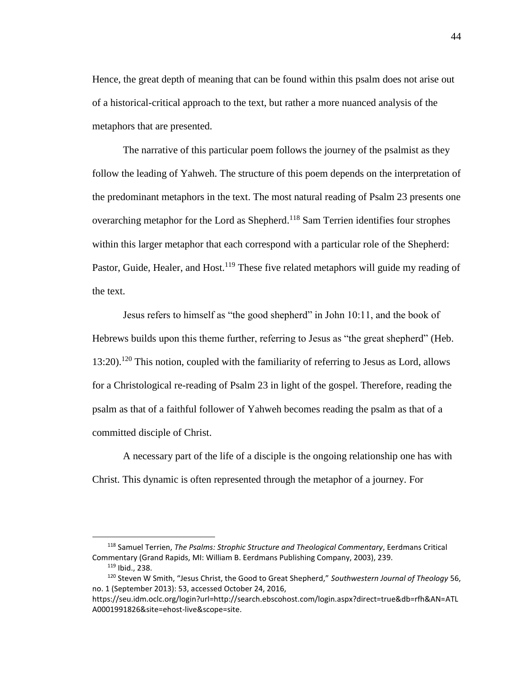Hence, the great depth of meaning that can be found within this psalm does not arise out of a historical-critical approach to the text, but rather a more nuanced analysis of the metaphors that are presented.

The narrative of this particular poem follows the journey of the psalmist as they follow the leading of Yahweh. The structure of this poem depends on the interpretation of the predominant metaphors in the text. The most natural reading of Psalm 23 presents one overarching metaphor for the Lord as Shepherd.<sup>118</sup> Sam Terrien identifies four strophes within this larger metaphor that each correspond with a particular role of the Shepherd: Pastor, Guide, Healer, and Host.<sup>119</sup> These five related metaphors will guide my reading of the text.

Jesus refers to himself as "the good shepherd" in John 10:11, and the book of Hebrews builds upon this theme further, referring to Jesus as "the great shepherd" (Heb.  $13:20$ ).<sup>120</sup> This notion, coupled with the familiarity of referring to Jesus as Lord, allows for a Christological re-reading of Psalm 23 in light of the gospel. Therefore, reading the psalm as that of a faithful follower of Yahweh becomes reading the psalm as that of a committed disciple of Christ.

A necessary part of the life of a disciple is the ongoing relationship one has with Christ. This dynamic is often represented through the metaphor of a journey. For

<sup>118</sup> Samuel Terrien, *The Psalms: Strophic Structure and Theological Commentary*, Eerdmans Critical Commentary (Grand Rapids, MI: William B. Eerdmans Publishing Company, 2003), 239. <sup>119</sup> Ibid., 238.

<sup>120</sup> Steven W Smith, "Jesus Christ, the Good to Great Shepherd," *Southwestern Journal of Theology* 56, no. 1 (September 2013): 53, accessed October 24, 2016,

https://seu.idm.oclc.org/login?url=http://search.ebscohost.com/login.aspx?direct=true&db=rfh&AN=ATL A0001991826&site=ehost-live&scope=site.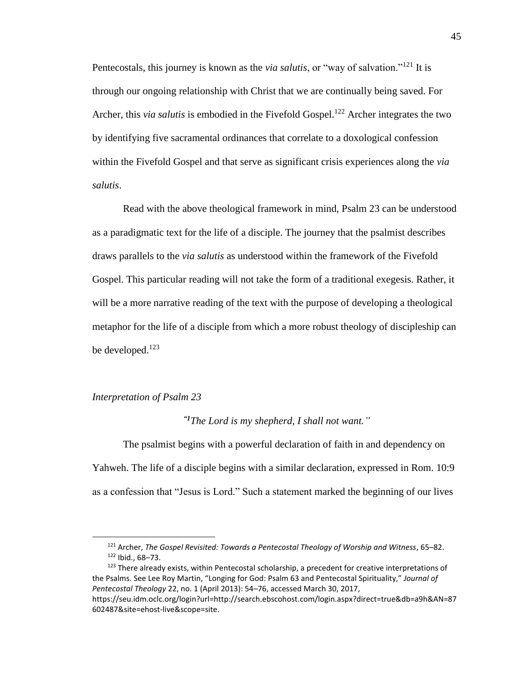Pentecostals, this journey is known as the *via salutis*, or "way of salvation."<sup>121</sup> It is through our ongoing relationship with Christ that we are continually being saved. For Archer, this *via salutis* is embodied in the Fivefold Gospel.<sup>122</sup> Archer integrates the two by identifying five sacramental ordinances that correlate to a doxological confession within the Fivefold Gospel and that serve as significant crisis experiences along the *via salutis*.

Read with the above theological framework in mind, Psalm 23 can be understood as a paradigmatic text for the life of a disciple. The journey that the psalmist describes draws parallels to the *via salutis* as understood within the framework of the Fivefold Gospel. This particular reading will not take the form of a traditional exegesis. Rather, it will be a more narrative reading of the text with the purpose of developing a theological metaphor for the life of a disciple from which a more robust theology of discipleship can be developed.<sup>123</sup>

#### *Interpretation of Psalm 23*

 $\overline{\phantom{a}}$ 

*"1The Lord is my shepherd, I shall not want."*

The psalmist begins with a powerful declaration of faith in and dependency on Yahweh. The life of a disciple begins with a similar declaration, expressed in Rom. 10:9 as a confession that "Jesus is Lord." Such a statement marked the beginning of our lives

<sup>121</sup> Archer, *The Gospel Revisited: Towards a Pentecostal Theology of Worship and Witness*, 65–82.  $122$  Ibid., 68-73.

<sup>&</sup>lt;sup>123</sup> There already exists, within Pentecostal scholarship, a precedent for creative interpretations of the Psalms. See Lee Roy Martin, "Longing for God: Psalm 63 and Pentecostal Spirituality," *Journal of Pentecostal Theology* 22, no. 1 (April 2013): 54–76, accessed March 30, 2017, https://seu.idm.oclc.org/login?url=http://search.ebscohost.com/login.aspx?direct=true&db=a9h&AN=87 602487&site=ehost-live&scope=site.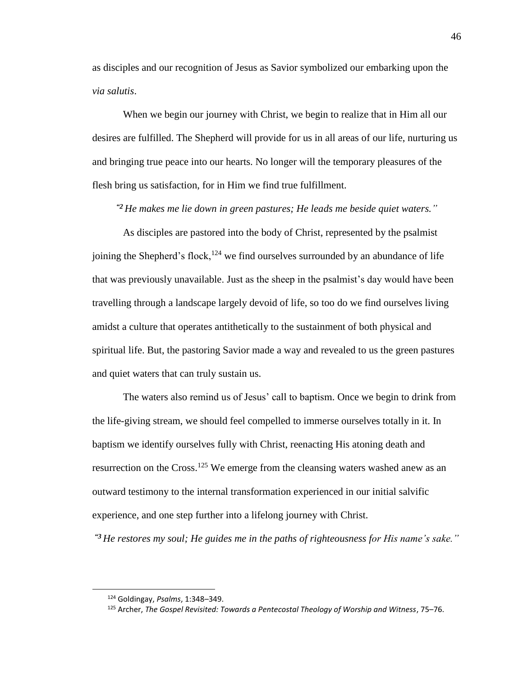as disciples and our recognition of Jesus as Savior symbolized our embarking upon the *via salutis*.

When we begin our journey with Christ, we begin to realize that in Him all our desires are fulfilled. The Shepherd will provide for us in all areas of our life, nurturing us and bringing true peace into our hearts. No longer will the temporary pleasures of the flesh bring us satisfaction, for in Him we find true fulfillment.

*"2 He makes me lie down in green pastures; He leads me beside quiet waters."*

As disciples are pastored into the body of Christ, represented by the psalmist joining the Shepherd's flock,<sup>124</sup> we find ourselves surrounded by an abundance of life that was previously unavailable. Just as the sheep in the psalmist's day would have been travelling through a landscape largely devoid of life, so too do we find ourselves living amidst a culture that operates antithetically to the sustainment of both physical and spiritual life. But, the pastoring Savior made a way and revealed to us the green pastures and quiet waters that can truly sustain us.

The waters also remind us of Jesus' call to baptism. Once we begin to drink from the life-giving stream, we should feel compelled to immerse ourselves totally in it. In baptism we identify ourselves fully with Christ, reenacting His atoning death and resurrection on the Cross.<sup>125</sup> We emerge from the cleansing waters washed anew as an outward testimony to the internal transformation experienced in our initial salvific experience, and one step further into a lifelong journey with Christ.

*"3 He restores my soul; He guides me in the paths of righteousness for His name's sake."*

<sup>124</sup> Goldingay, *Psalms*, 1:348–349.

<sup>125</sup> Archer, *The Gospel Revisited: Towards a Pentecostal Theology of Worship and Witness*, 75–76.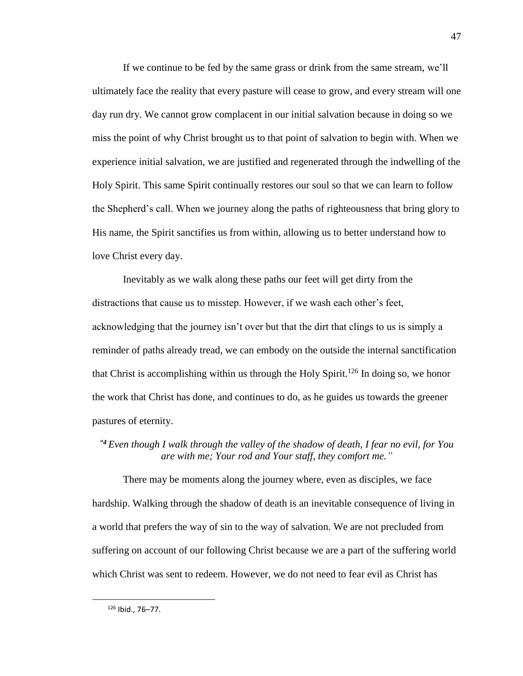If we continue to be fed by the same grass or drink from the same stream, we'll ultimately face the reality that every pasture will cease to grow, and every stream will one day run dry. We cannot grow complacent in our initial salvation because in doing so we miss the point of why Christ brought us to that point of salvation to begin with. When we experience initial salvation, we are justified and regenerated through the indwelling of the Holy Spirit. This same Spirit continually restores our soul so that we can learn to follow the Shepherd's call. When we journey along the paths of righteousness that bring glory to His name, the Spirit sanctifies us from within, allowing us to better understand how to love Christ every day.

Inevitably as we walk along these paths our feet will get dirty from the distractions that cause us to misstep. However, if we wash each other's feet, acknowledging that the journey isn't over but that the dirt that clings to us is simply a reminder of paths already tread, we can embody on the outside the internal sanctification that Christ is accomplishing within us through the Holy Spirit.<sup>126</sup> In doing so, we honor the work that Christ has done, and continues to do, as he guides us towards the greener pastures of eternity.

# *"4 Even though I walk through the valley of the shadow of death, I fear no evil, for You are with me; Your rod and Your staff, they comfort me."*

There may be moments along the journey where, even as disciples, we face hardship. Walking through the shadow of death is an inevitable consequence of living in a world that prefers the way of sin to the way of salvation. We are not precluded from suffering on account of our following Christ because we are a part of the suffering world which Christ was sent to redeem. However, we do not need to fear evil as Christ has

<sup>47</sup>

<sup>126</sup> Ibid., 76–77.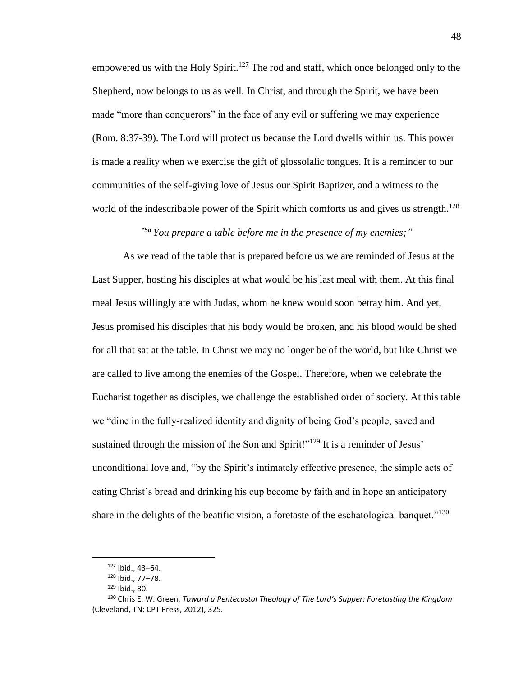empowered us with the Holy Spirit.<sup>127</sup> The rod and staff, which once belonged only to the Shepherd, now belongs to us as well. In Christ, and through the Spirit, we have been made "more than conquerors" in the face of any evil or suffering we may experience (Rom. 8:37-39). The Lord will protect us because the Lord dwells within us. This power is made a reality when we exercise the gift of glossolalic tongues. It is a reminder to our communities of the self-giving love of Jesus our Spirit Baptizer, and a witness to the world of the indescribable power of the Spirit which comforts us and gives us strength.<sup>128</sup>

#### *"5a You prepare a table before me in the presence of my enemies;"*

As we read of the table that is prepared before us we are reminded of Jesus at the Last Supper, hosting his disciples at what would be his last meal with them. At this final meal Jesus willingly ate with Judas, whom he knew would soon betray him. And yet, Jesus promised his disciples that his body would be broken, and his blood would be shed for all that sat at the table. In Christ we may no longer be of the world, but like Christ we are called to live among the enemies of the Gospel. Therefore, when we celebrate the Eucharist together as disciples, we challenge the established order of society. At this table we "dine in the fully-realized identity and dignity of being God's people, saved and sustained through the mission of the Son and Spirit!"<sup>129</sup> It is a reminder of Jesus' unconditional love and, "by the Spirit's intimately effective presence, the simple acts of eating Christ's bread and drinking his cup become by faith and in hope an anticipatory share in the delights of the beatific vision, a foretaste of the eschatological banquet."<sup>130</sup>

<sup>127</sup> Ibid., 43–64.

<sup>128</sup> Ibid., 77–78.

 $129$  Ibid., 80.

<sup>130</sup> Chris E. W. Green, *Toward a Pentecostal Theology of The Lord's Supper: Foretasting the Kingdom* (Cleveland, TN: CPT Press, 2012), 325.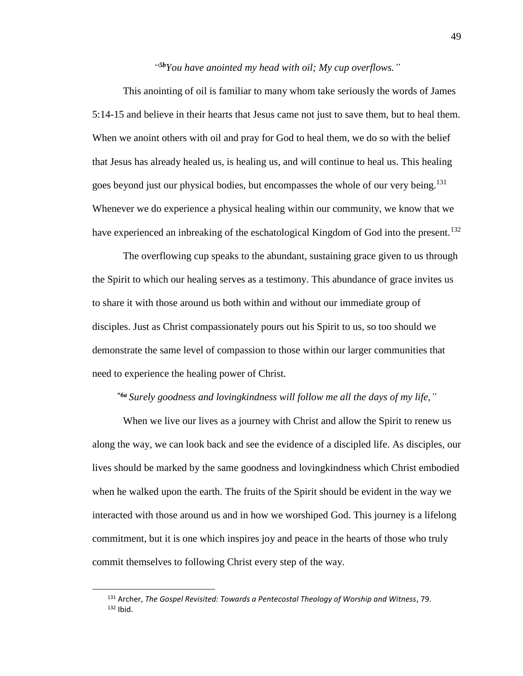## *" 5bYou have anointed my head with oil; My cup overflows."*

This anointing of oil is familiar to many whom take seriously the words of James 5:14-15 and believe in their hearts that Jesus came not just to save them, but to heal them. When we anoint others with oil and pray for God to heal them, we do so with the belief that Jesus has already healed us, is healing us, and will continue to heal us. This healing goes beyond just our physical bodies, but encompasses the whole of our very being.<sup>131</sup> Whenever we do experience a physical healing within our community, we know that we have experienced an inbreaking of the eschatological Kingdom of God into the present.<sup>132</sup>

The overflowing cup speaks to the abundant, sustaining grace given to us through the Spirit to which our healing serves as a testimony. This abundance of grace invites us to share it with those around us both within and without our immediate group of disciples. Just as Christ compassionately pours out his Spirit to us, so too should we demonstrate the same level of compassion to those within our larger communities that need to experience the healing power of Christ.

## *"6a Surely goodness and lovingkindness will follow me all the days of my life,"*

When we live our lives as a journey with Christ and allow the Spirit to renew us along the way, we can look back and see the evidence of a discipled life. As disciples, our lives should be marked by the same goodness and lovingkindness which Christ embodied when he walked upon the earth. The fruits of the Spirit should be evident in the way we interacted with those around us and in how we worshiped God. This journey is a lifelong commitment, but it is one which inspires joy and peace in the hearts of those who truly commit themselves to following Christ every step of the way.

<sup>131</sup> Archer, *The Gospel Revisited: Towards a Pentecostal Theology of Worship and Witness*, 79.  $132$  Ibid.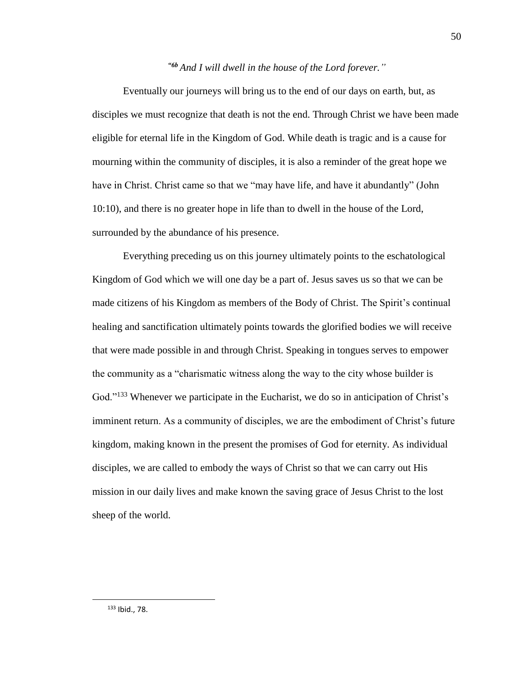# *"6b And I will dwell in the house of the Lord forever."*

Eventually our journeys will bring us to the end of our days on earth, but, as disciples we must recognize that death is not the end. Through Christ we have been made eligible for eternal life in the Kingdom of God. While death is tragic and is a cause for mourning within the community of disciples, it is also a reminder of the great hope we have in Christ. Christ came so that we "may have life, and have it abundantly" (John 10:10), and there is no greater hope in life than to dwell in the house of the Lord, surrounded by the abundance of his presence.

Everything preceding us on this journey ultimately points to the eschatological Kingdom of God which we will one day be a part of. Jesus saves us so that we can be made citizens of his Kingdom as members of the Body of Christ. The Spirit's continual healing and sanctification ultimately points towards the glorified bodies we will receive that were made possible in and through Christ. Speaking in tongues serves to empower the community as a "charismatic witness along the way to the city whose builder is God."<sup>133</sup> Whenever we participate in the Eucharist, we do so in anticipation of Christ's imminent return. As a community of disciples, we are the embodiment of Christ's future kingdom, making known in the present the promises of God for eternity. As individual disciples, we are called to embody the ways of Christ so that we can carry out His mission in our daily lives and make known the saving grace of Jesus Christ to the lost sheep of the world.

<sup>133</sup> Ibid., 78.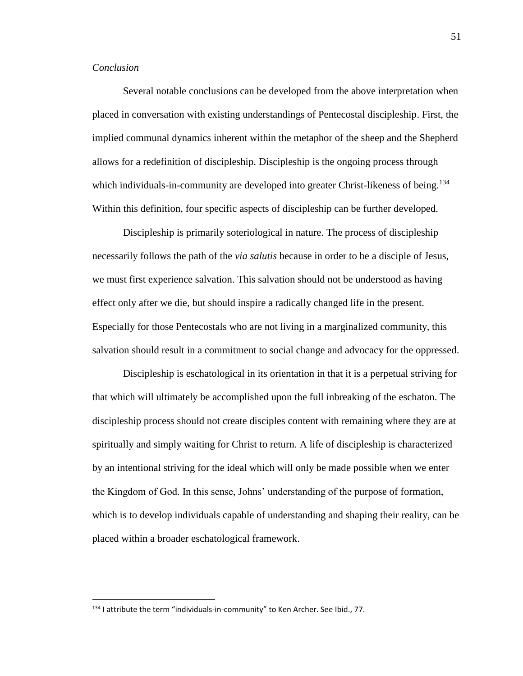## *Conclusion*

 $\overline{\phantom{a}}$ 

Several notable conclusions can be developed from the above interpretation when placed in conversation with existing understandings of Pentecostal discipleship. First, the implied communal dynamics inherent within the metaphor of the sheep and the Shepherd allows for a redefinition of discipleship. Discipleship is the ongoing process through which individuals-in-community are developed into greater Christ-likeness of being.<sup>134</sup> Within this definition, four specific aspects of discipleship can be further developed.

Discipleship is primarily soteriological in nature. The process of discipleship necessarily follows the path of the *via salutis* because in order to be a disciple of Jesus, we must first experience salvation. This salvation should not be understood as having effect only after we die, but should inspire a radically changed life in the present. Especially for those Pentecostals who are not living in a marginalized community, this salvation should result in a commitment to social change and advocacy for the oppressed.

Discipleship is eschatological in its orientation in that it is a perpetual striving for that which will ultimately be accomplished upon the full inbreaking of the eschaton. The discipleship process should not create disciples content with remaining where they are at spiritually and simply waiting for Christ to return. A life of discipleship is characterized by an intentional striving for the ideal which will only be made possible when we enter the Kingdom of God. In this sense, Johns' understanding of the purpose of formation, which is to develop individuals capable of understanding and shaping their reality, can be placed within a broader eschatological framework.

<sup>134</sup> I attribute the term "individuals-in-community" to Ken Archer. See Ibid., 77.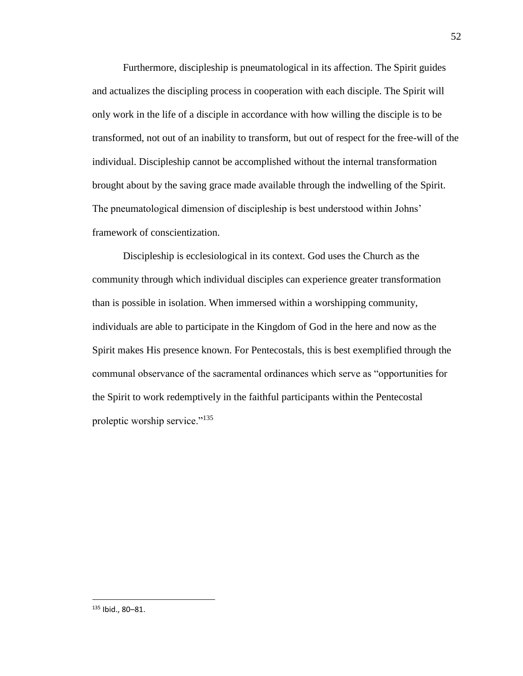Furthermore, discipleship is pneumatological in its affection. The Spirit guides and actualizes the discipling process in cooperation with each disciple. The Spirit will only work in the life of a disciple in accordance with how willing the disciple is to be transformed, not out of an inability to transform, but out of respect for the free-will of the individual. Discipleship cannot be accomplished without the internal transformation brought about by the saving grace made available through the indwelling of the Spirit. The pneumatological dimension of discipleship is best understood within Johns' framework of conscientization.

Discipleship is ecclesiological in its context. God uses the Church as the community through which individual disciples can experience greater transformation than is possible in isolation. When immersed within a worshipping community, individuals are able to participate in the Kingdom of God in the here and now as the Spirit makes His presence known. For Pentecostals, this is best exemplified through the communal observance of the sacramental ordinances which serve as "opportunities for the Spirit to work redemptively in the faithful participants within the Pentecostal proleptic worship service."<sup>135</sup>

<sup>135</sup> Ibid., 80–81.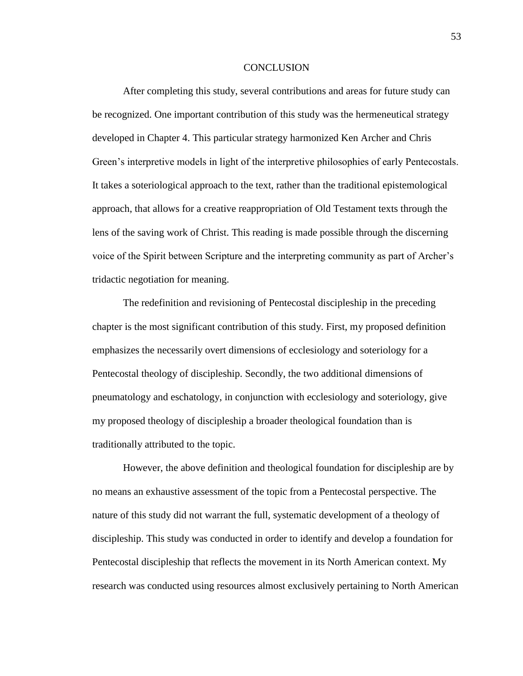#### **CONCLUSION**

After completing this study, several contributions and areas for future study can be recognized. One important contribution of this study was the hermeneutical strategy developed in Chapter 4. This particular strategy harmonized Ken Archer and Chris Green's interpretive models in light of the interpretive philosophies of early Pentecostals. It takes a soteriological approach to the text, rather than the traditional epistemological approach, that allows for a creative reappropriation of Old Testament texts through the lens of the saving work of Christ. This reading is made possible through the discerning voice of the Spirit between Scripture and the interpreting community as part of Archer's tridactic negotiation for meaning.

The redefinition and revisioning of Pentecostal discipleship in the preceding chapter is the most significant contribution of this study. First, my proposed definition emphasizes the necessarily overt dimensions of ecclesiology and soteriology for a Pentecostal theology of discipleship. Secondly, the two additional dimensions of pneumatology and eschatology, in conjunction with ecclesiology and soteriology, give my proposed theology of discipleship a broader theological foundation than is traditionally attributed to the topic.

However, the above definition and theological foundation for discipleship are by no means an exhaustive assessment of the topic from a Pentecostal perspective. The nature of this study did not warrant the full, systematic development of a theology of discipleship. This study was conducted in order to identify and develop a foundation for Pentecostal discipleship that reflects the movement in its North American context. My research was conducted using resources almost exclusively pertaining to North American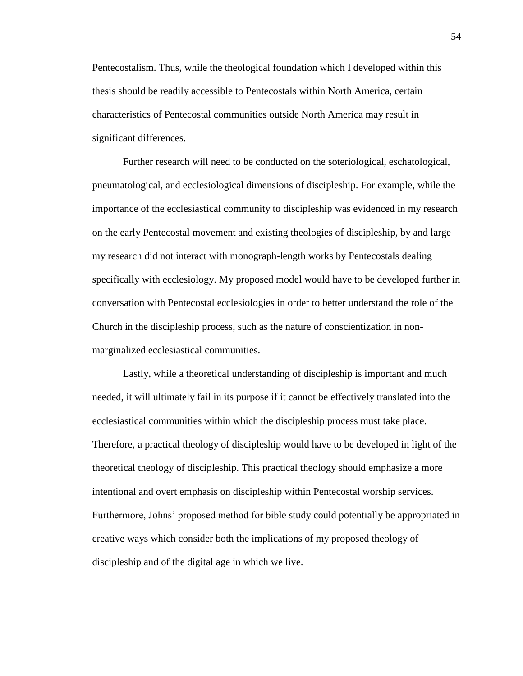Pentecostalism. Thus, while the theological foundation which I developed within this thesis should be readily accessible to Pentecostals within North America, certain characteristics of Pentecostal communities outside North America may result in significant differences.

Further research will need to be conducted on the soteriological, eschatological, pneumatological, and ecclesiological dimensions of discipleship. For example, while the importance of the ecclesiastical community to discipleship was evidenced in my research on the early Pentecostal movement and existing theologies of discipleship, by and large my research did not interact with monograph-length works by Pentecostals dealing specifically with ecclesiology. My proposed model would have to be developed further in conversation with Pentecostal ecclesiologies in order to better understand the role of the Church in the discipleship process, such as the nature of conscientization in nonmarginalized ecclesiastical communities.

Lastly, while a theoretical understanding of discipleship is important and much needed, it will ultimately fail in its purpose if it cannot be effectively translated into the ecclesiastical communities within which the discipleship process must take place. Therefore, a practical theology of discipleship would have to be developed in light of the theoretical theology of discipleship. This practical theology should emphasize a more intentional and overt emphasis on discipleship within Pentecostal worship services. Furthermore, Johns' proposed method for bible study could potentially be appropriated in creative ways which consider both the implications of my proposed theology of discipleship and of the digital age in which we live.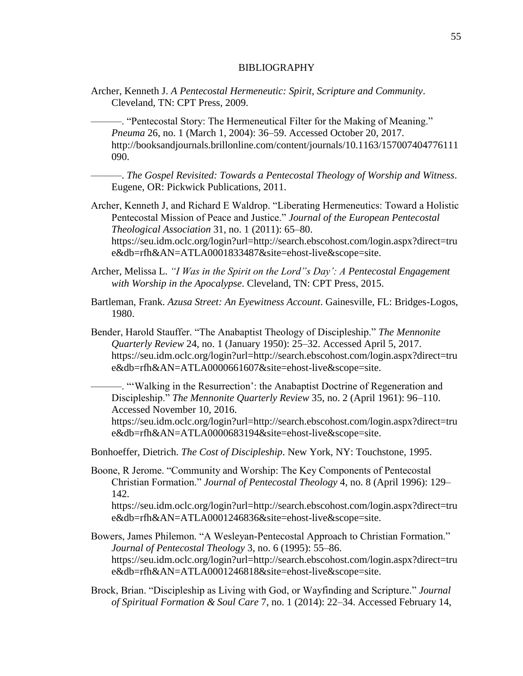#### BIBLIOGRAPHY

Archer, Kenneth J. *A Pentecostal Hermeneutic: Spirit, Scripture and Community*. Cleveland, TN: CPT Press, 2009.

———. "Pentecostal Story: The Hermeneutical Filter for the Making of Meaning." *Pneuma* 26, no. 1 (March 1, 2004): 36–59. Accessed October 20, 2017. http://booksandjournals.brillonline.com/content/journals/10.1163/157007404776111 090.

———. *The Gospel Revisited: Towards a Pentecostal Theology of Worship and Witness*. Eugene, OR: Pickwick Publications, 2011.

- Archer, Kenneth J, and Richard E Waldrop. "Liberating Hermeneutics: Toward a Holistic Pentecostal Mission of Peace and Justice." *Journal of the European Pentecostal Theological Association* 31, no. 1 (2011): 65–80. https://seu.idm.oclc.org/login?url=http://search.ebscohost.com/login.aspx?direct=tru e&db=rfh&AN=ATLA0001833487&site=ehost-live&scope=site.
- Archer, Melissa L. *"I Was in the Spirit on the Lord"s Day': A Pentecostal Engagement with Worship in the Apocalypse*. Cleveland, TN: CPT Press, 2015.
- Bartleman, Frank. *Azusa Street: An Eyewitness Account*. Gainesville, FL: Bridges-Logos, 1980.
- Bender, Harold Stauffer. "The Anabaptist Theology of Discipleship." *The Mennonite Quarterly Review* 24, no. 1 (January 1950): 25–32. Accessed April 5, 2017. https://seu.idm.oclc.org/login?url=http://search.ebscohost.com/login.aspx?direct=tru e&db=rfh&AN=ATLA0000661607&site=ehost-live&scope=site.

———. "'Walking in the Resurrection': the Anabaptist Doctrine of Regeneration and Discipleship." *The Mennonite Quarterly Review* 35, no. 2 (April 1961): 96–110. Accessed November 10, 2016.

https://seu.idm.oclc.org/login?url=http://search.ebscohost.com/login.aspx?direct=tru e&db=rfh&AN=ATLA0000683194&site=ehost-live&scope=site.

- Bonhoeffer, Dietrich. *The Cost of Discipleship*. New York, NY: Touchstone, 1995.
- Boone, R Jerome. "Community and Worship: The Key Components of Pentecostal Christian Formation." *Journal of Pentecostal Theology* 4, no. 8 (April 1996): 129– 142. https://seu.idm.oclc.org/login?url=http://search.ebscohost.com/login.aspx?direct=tru e&db=rfh&AN=ATLA0001246836&site=ehost-live&scope=site.
- Bowers, James Philemon. "A Wesleyan-Pentecostal Approach to Christian Formation." *Journal of Pentecostal Theology* 3, no. 6 (1995): 55–86. https://seu.idm.oclc.org/login?url=http://search.ebscohost.com/login.aspx?direct=tru e&db=rfh&AN=ATLA0001246818&site=ehost-live&scope=site.
- Brock, Brian. "Discipleship as Living with God, or Wayfinding and Scripture." *Journal of Spiritual Formation & Soul Care* 7, no. 1 (2014): 22–34. Accessed February 14,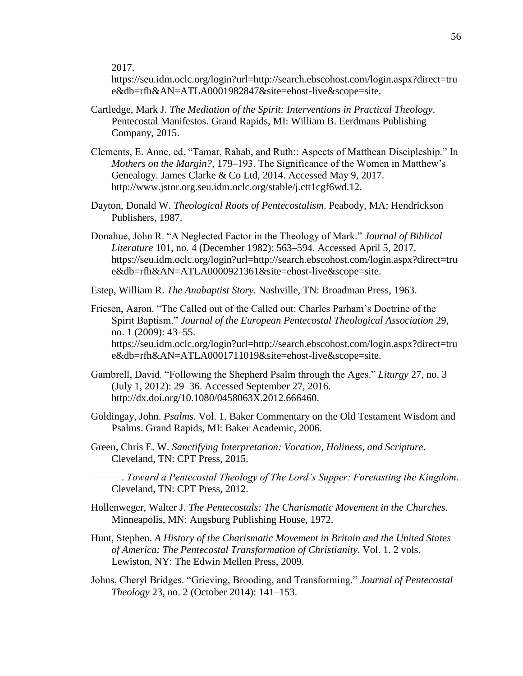2017.

https://seu.idm.oclc.org/login?url=http://search.ebscohost.com/login.aspx?direct=tru e&db=rfh&AN=ATLA0001982847&site=ehost-live&scope=site.

- Cartledge, Mark J. *The Mediation of the Spirit: Interventions in Practical Theology*. Pentecostal Manifestos. Grand Rapids, MI: William B. Eerdmans Publishing Company, 2015.
- Clements, E. Anne, ed. "Tamar, Rahab, and Ruth:: Aspects of Matthean Discipleship." In *Mothers on the Margin?*, 179–193. The Significance of the Women in Matthew's Genealogy. James Clarke & Co Ltd, 2014. Accessed May 9, 2017. http://www.jstor.org.seu.idm.oclc.org/stable/j.ctt1cgf6wd.12.
- Dayton, Donald W. *Theological Roots of Pentecostalism*. Peabody, MA: Hendrickson Publishers, 1987.
- Donahue, John R. "A Neglected Factor in the Theology of Mark." *Journal of Biblical Literature* 101, no. 4 (December 1982): 563–594. Accessed April 5, 2017. https://seu.idm.oclc.org/login?url=http://search.ebscohost.com/login.aspx?direct=tru e&db=rfh&AN=ATLA0000921361&site=ehost-live&scope=site.
- Estep, William R. *The Anabaptist Story*. Nashville, TN: Broadman Press, 1963.
- Friesen, Aaron. "The Called out of the Called out: Charles Parham's Doctrine of the Spirit Baptism." *Journal of the European Pentecostal Theological Association* 29, no. 1 (2009): 43–55. https://seu.idm.oclc.org/login?url=http://search.ebscohost.com/login.aspx?direct=tru e&db=rfh&AN=ATLA0001711019&site=ehost-live&scope=site.
- Gambrell, David. "Following the Shepherd Psalm through the Ages." *Liturgy* 27, no. 3 (July 1, 2012): 29–36. Accessed September 27, 2016. http://dx.doi.org/10.1080/0458063X.2012.666460.
- Goldingay, John. *Psalms*. Vol. 1. Baker Commentary on the Old Testament Wisdom and Psalms. Grand Rapids, MI: Baker Academic, 2006.
- Green, Chris E. W. *Sanctifying Interpretation: Vocation, Holiness, and Scripture*. Cleveland, TN: CPT Press, 2015.
	- ———. *Toward a Pentecostal Theology of The Lord's Supper: Foretasting the Kingdom*. Cleveland, TN: CPT Press, 2012.
- Hollenweger, Walter J. *The Pentecostals: The Charismatic Movement in the Churches*. Minneapolis, MN: Augsburg Publishing House, 1972.
- Hunt, Stephen. *A History of the Charismatic Movement in Britain and the United States of America: The Pentecostal Transformation of Christianity*. Vol. 1. 2 vols. Lewiston, NY: The Edwin Mellen Press, 2009.
- Johns, Cheryl Bridges. "Grieving, Brooding, and Transforming." *Journal of Pentecostal Theology* 23, no. 2 (October 2014): 141–153.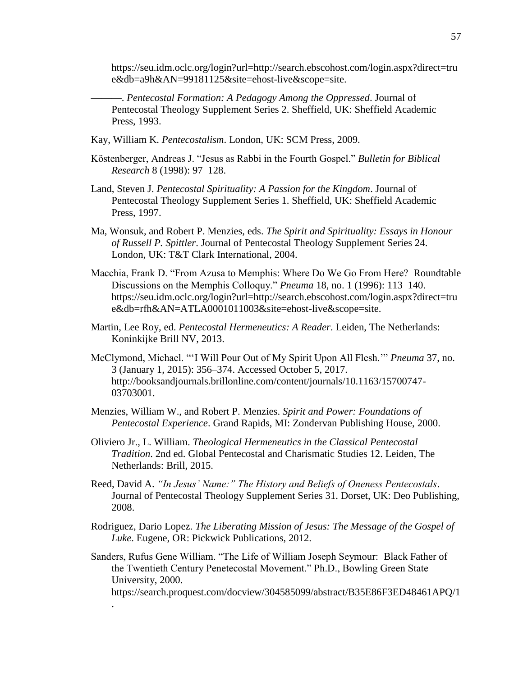https://seu.idm.oclc.org/login?url=http://search.ebscohost.com/login.aspx?direct=tru e&db=a9h&AN=99181125&site=ehost-live&scope=site.

———. *Pentecostal Formation: A Pedagogy Among the Oppressed*. Journal of Pentecostal Theology Supplement Series 2. Sheffield, UK: Sheffield Academic Press, 1993.

- Kay, William K. *Pentecostalism*. London, UK: SCM Press, 2009.
- Köstenberger, Andreas J. "Jesus as Rabbi in the Fourth Gospel." *Bulletin for Biblical Research* 8 (1998): 97–128.
- Land, Steven J. *Pentecostal Spirituality: A Passion for the Kingdom*. Journal of Pentecostal Theology Supplement Series 1. Sheffield, UK: Sheffield Academic Press, 1997.
- Ma, Wonsuk, and Robert P. Menzies, eds. *The Spirit and Spirituality: Essays in Honour of Russell P. Spittler*. Journal of Pentecostal Theology Supplement Series 24. London, UK: T&T Clark International, 2004.
- Macchia, Frank D. "From Azusa to Memphis: Where Do We Go From Here? Roundtable Discussions on the Memphis Colloquy." *Pneuma* 18, no. 1 (1996): 113–140. https://seu.idm.oclc.org/login?url=http://search.ebscohost.com/login.aspx?direct=tru e&db=rfh&AN=ATLA0001011003&site=ehost-live&scope=site.
- Martin, Lee Roy, ed. *Pentecostal Hermeneutics: A Reader*. Leiden, The Netherlands: Koninkijke Brill NV, 2013.
- McClymond, Michael. "'I Will Pour Out of My Spirit Upon All Flesh.'" *Pneuma* 37, no. 3 (January 1, 2015): 356–374. Accessed October 5, 2017. http://booksandjournals.brillonline.com/content/journals/10.1163/15700747- 03703001.
- Menzies, William W., and Robert P. Menzies. *Spirit and Power: Foundations of Pentecostal Experience*. Grand Rapids, MI: Zondervan Publishing House, 2000.
- Oliviero Jr., L. William. *Theological Hermeneutics in the Classical Pentecostal Tradition*. 2nd ed. Global Pentecostal and Charismatic Studies 12. Leiden, The Netherlands: Brill, 2015.
- Reed, David A. *"In Jesus' Name:" The History and Beliefs of Oneness Pentecostals*. Journal of Pentecostal Theology Supplement Series 31. Dorset, UK: Deo Publishing, 2008.
- Rodriguez, Dario Lopez. *The Liberating Mission of Jesus: The Message of the Gospel of Luke*. Eugene, OR: Pickwick Publications, 2012.

Sanders, Rufus Gene William. "The Life of William Joseph Seymour: Black Father of the Twentieth Century Penetecostal Movement." Ph.D., Bowling Green State University, 2000. https://search.proquest.com/docview/304585099/abstract/B35E86F3ED48461APQ/1 .